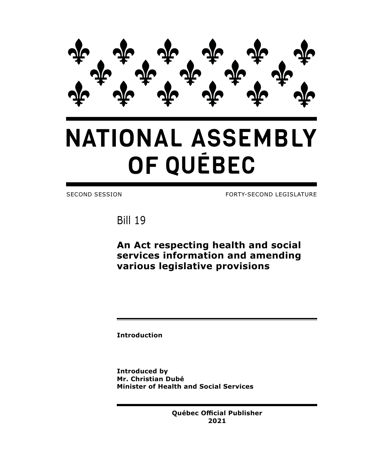

# **NATIONAL ASSEMBLY** OF QUÉBEC

SECOND SESSION FORTY-SECOND LEGISLATURE

Bill 19

**An Act respecting health and social services information and amending various legislative provisions**

**Introduction**

**Introduced by Mr. Christian Dubé Minister of Health and Social Services**

> **Québec Official Publisher 2021**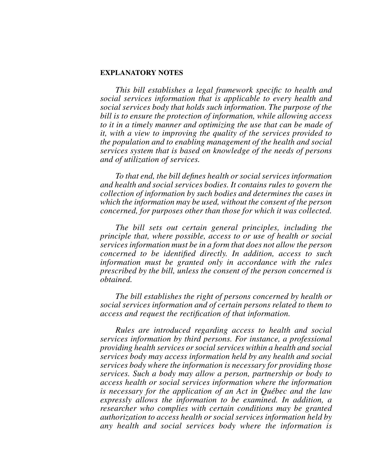## **EXPLANATORY NOTES**

*This bill establishes a legal framework specific to health and social services information that is applicable to every health and social services body that holds such information. The purpose of the bill is to ensure the protection of information, while allowing access to it in a timely manner and optimizing the use that can be made of it, with a view to improving the quality of the services provided to the population and to enabling management of the health and social services system that is based on knowledge of the needs of persons and of utilization of services.*

*To that end, the bill defines health or social services information and health and social services bodies. It contains rules to govern the collection of information by such bodies and determines the cases in which the information may be used, without the consent of the person concerned, for purposes other than those for which it was collected.*

*The bill sets out certain general principles, including the principle that, where possible, access to or use of health or social services information must be in a form that does not allow the person concerned to be identified directly. In addition, access to such information must be granted only in accordance with the rules prescribed by the bill, unless the consent of the person concerned is obtained.*

*The bill establishes the right of persons concerned by health or social services information and of certain persons related to them to access and request the rectification of that information.*

*Rules are introduced regarding access to health and social services information by third persons. For instance, a professional providing health services or social services within a health and social services body may access information held by any health and social services body where the information is necessary for providing those services. Such a body may allow a person, partnership or body to access health or social services information where the information is necessary for the application of an Act in Québec and the law expressly allows the information to be examined. In addition, a researcher who complies with certain conditions may be granted authorization to access health or social services information held by any health and social services body where the information is*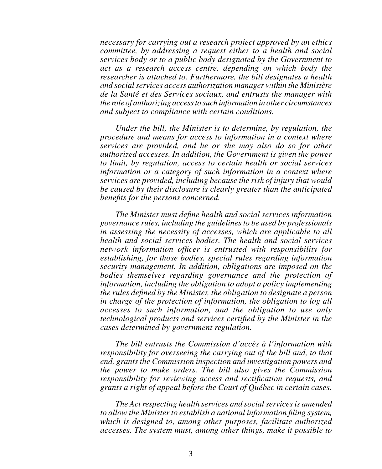*necessary for carrying out a research project approved by an ethics committee, by addressing a request either to a health and social services body or to a public body designated by the Government to act as a research access centre, depending on which body the researcher is attached to. Furthermore, the bill designates a health and social services access authorization manager within the Ministère de la Santé et des Services sociaux, and entrusts the manager with the role of authorizing access to such information in other circumstances and subject to compliance with certain conditions.*

*Under the bill, the Minister is to determine, by regulation, the procedure and means for access to information in a context where services are provided, and he or she may also do so for other authorized accesses. In addition, the Government is given the power to limit, by regulation, access to certain health or social services information or a category of such information in a context where services are provided, including because the risk of injury that would be caused by their disclosure is clearly greater than the anticipated benefits for the persons concerned.*

*The Minister must define health and social services information governance rules, including the guidelines to be used by professionals in assessing the necessity of accesses, which are applicable to all health and social services bodies. The health and social services network information officer is entrusted with responsibility for establishing, for those bodies, special rules regarding information security management. In addition, obligations are imposed on the bodies themselves regarding governance and the protection of information, including the obligation to adopt a policy implementing the rules defined by the Minister, the obligation to designate a person in charge of the protection of information, the obligation to log all accesses to such information, and the obligation to use only technological products and services certified by the Minister in the cases determined by government regulation.*

*The bill entrusts the Commission d'accès à l'information with responsibility for overseeing the carrying out of the bill and, to that end, grants the Commission inspection and investigation powers and the power to make orders. The bill also gives the Commission responsibility for reviewing access and rectification requests, and grants a right of appeal before the Court of Québec in certain cases.*

*The Act respecting health services and social services is amended to allow the Minister to establish a national information filing system, which is designed to, among other purposes, facilitate authorized accesses. The system must, among other things, make it possible to*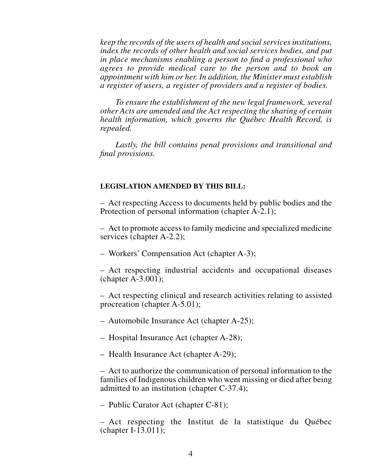*keep the records of the users of health and social services institutions, index the records of other health and social services bodies, and put in place mechanisms enabling a person to find a professional who agrees to provide medical care to the person and to book an appointment with him or her. In addition, the Minister must establish a register of users, a register of providers and a register of bodies.*

*To ensure the establishment of the new legal framework, several other Acts are amended and the Act respecting the sharing of certain health information, which governs the Québec Health Record, is repealed.*

*Lastly, the bill contains penal provisions and transitional and final provisions.*

## **LEGISLATION AMENDED BY THIS BILL:**

– Act respecting Access to documents held by public bodies and the Protection of personal information (chapter A-2.1);

– Act to promote access to family medicine and specialized medicine services (chapter A-2.2);

– Workers' Compensation Act (chapter A-3);

– Act respecting industrial accidents and occupational diseases (chapter A-3.001);

– Act respecting clinical and research activities relating to assisted procreation (chapter A-5.01);

– Automobile Insurance Act (chapter A-25);

– Hospital Insurance Act (chapter A-28);

– Health Insurance Act (chapter A-29);

– Act to authorize the communication of personal information to the families of Indigenous children who went missing or died after being admitted to an institution (chapter C-37.4);

– Public Curator Act (chapter C-81);

– Act respecting the Institut de la statistique du Québec (chapter I-13.011);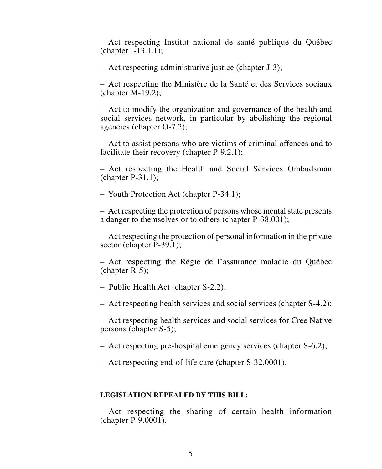– Act respecting Institut national de santé publique du Québec (chapter I-13.1.1);

– Act respecting administrative justice (chapter J-3);

– Act respecting the Ministère de la Santé et des Services sociaux (chapter M-19.2);

– Act to modify the organization and governance of the health and social services network, in particular by abolishing the regional agencies (chapter O-7.2);

– Act to assist persons who are victims of criminal offences and to facilitate their recovery (chapter P-9.2.1);

– Act respecting the Health and Social Services Ombudsman (chapter P-31.1);

– Youth Protection Act (chapter P-34.1);

– Act respecting the protection of persons whose mental state presents a danger to themselves or to others (chapter P-38.001);

– Act respecting the protection of personal information in the private sector (chapter P-39.1);

– Act respecting the Régie de l'assurance maladie du Québec (chapter R-5);

– Public Health Act (chapter S-2.2);

– Act respecting health services and social services (chapter S-4.2);

– Act respecting health services and social services for Cree Native persons (chapter S-5);

– Act respecting pre-hospital emergency services (chapter S-6.2);

– Act respecting end-of-life care (chapter S-32.0001).

## **LEGISLATION REPEALED BY THIS BILL:**

– Act respecting the sharing of certain health information (chapter P-9.0001).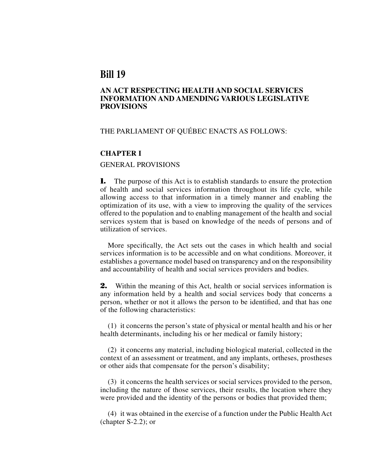# **Bill 19**

## **AN ACT RESPECTING HEALTH AND SOCIAL SERVICES INFORMATION AND AMENDING VARIOUS LEGISLATIVE PROVISIONS**

## THE PARLIAMENT OF QUÉBEC ENACTS AS FOLLOWS:

#### **CHAPTER I**

#### GENERAL PROVISIONS

**1.** The purpose of this Act is to establish standards to ensure the protection of health and social services information throughout its life cycle, while allowing access to that information in a timely manner and enabling the optimization of its use, with a view to improving the quality of the services offered to the population and to enabling management of the health and social services system that is based on knowledge of the needs of persons and of utilization of services.

More specifically, the Act sets out the cases in which health and social services information is to be accessible and on what conditions. Moreover, it establishes a governance model based on transparency and on the responsibility and accountability of health and social services providers and bodies.

**2.** Within the meaning of this Act, health or social services information is any information held by a health and social services body that concerns a person, whether or not it allows the person to be identified, and that has one of the following characteristics:

(1) it concerns the person's state of physical or mental health and his or her health determinants, including his or her medical or family history;

(2) it concerns any material, including biological material, collected in the context of an assessment or treatment, and any implants, ortheses, prostheses or other aids that compensate for the person's disability;

(3) it concerns the health services or social services provided to the person, including the nature of those services, their results, the location where they were provided and the identity of the persons or bodies that provided them;

(4) it was obtained in the exercise of a function under the Public Health Act (chapter S-2.2); or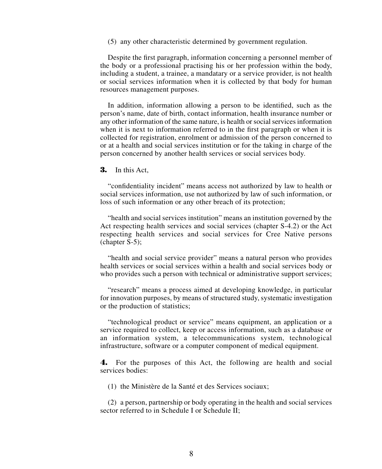(5) any other characteristic determined by government regulation.

Despite the first paragraph, information concerning a personnel member of the body or a professional practising his or her profession within the body, including a student, a trainee, a mandatary or a service provider, is not health or social services information when it is collected by that body for human resources management purposes.

In addition, information allowing a person to be identified, such as the person's name, date of birth, contact information, health insurance number or any other information of the same nature, is health or social services information when it is next to information referred to in the first paragraph or when it is collected for registration, enrolment or admission of the person concerned to or at a health and social services institution or for the taking in charge of the person concerned by another health services or social services body.

**3.** In this Act,

"confidentiality incident" means access not authorized by law to health or social services information, use not authorized by law of such information, or loss of such information or any other breach of its protection;

"health and social services institution" means an institution governed by the Act respecting health services and social services (chapter S-4.2) or the Act respecting health services and social services for Cree Native persons (chapter S-5);

"health and social service provider" means a natural person who provides health services or social services within a health and social services body or who provides such a person with technical or administrative support services;

"research" means a process aimed at developing knowledge, in particular for innovation purposes, by means of structured study, systematic investigation or the production of statistics;

"technological product or service" means equipment, an application or a service required to collect, keep or access information, such as a database or an information system, a telecommunications system, technological infrastructure, software or a computer component of medical equipment.

**4.** For the purposes of this Act, the following are health and social services bodies:

(1) the Ministère de la Santé et des Services sociaux;

(2) a person, partnership or body operating in the health and social services sector referred to in Schedule I or Schedule II: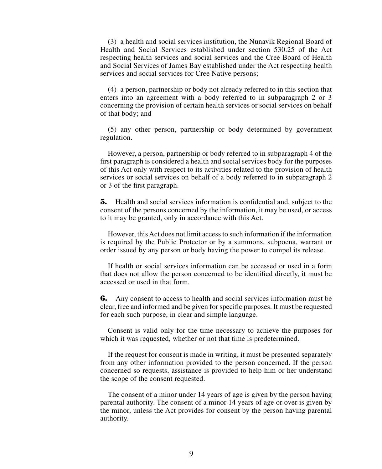(3) a health and social services institution, the Nunavik Regional Board of Health and Social Services established under section 530.25 of the Act respecting health services and social services and the Cree Board of Health and Social Services of James Bay established under the Act respecting health services and social services for Cree Native persons;

(4) a person, partnership or body not already referred to in this section that enters into an agreement with a body referred to in subparagraph 2 or 3 concerning the provision of certain health services or social services on behalf of that body; and

(5) any other person, partnership or body determined by government regulation.

However, a person, partnership or body referred to in subparagraph 4 of the first paragraph is considered a health and social services body for the purposes of this Act only with respect to its activities related to the provision of health services or social services on behalf of a body referred to in subparagraph 2 or 3 of the first paragraph.

**5.** Health and social services information is confidential and, subject to the consent of the persons concerned by the information, it may be used, or access to it may be granted, only in accordance with this Act.

However, this Act does not limit access to such information if the information is required by the Public Protector or by a summons, subpoena, warrant or order issued by any person or body having the power to compel its release.

If health or social services information can be accessed or used in a form that does not allow the person concerned to be identified directly, it must be accessed or used in that form.

**6.** Any consent to access to health and social services information must be clear, free and informed and be given for specific purposes. It must be requested for each such purpose, in clear and simple language.

Consent is valid only for the time necessary to achieve the purposes for which it was requested, whether or not that time is predetermined.

If the request for consent is made in writing, it must be presented separately from any other information provided to the person concerned. If the person concerned so requests, assistance is provided to help him or her understand the scope of the consent requested.

The consent of a minor under 14 years of age is given by the person having parental authority. The consent of a minor 14 years of age or over is given by the minor, unless the Act provides for consent by the person having parental authority.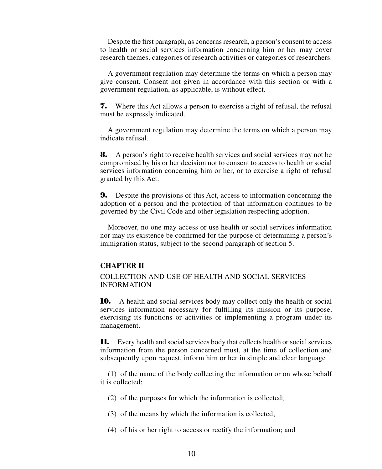Despite the first paragraph, as concerns research, a person's consent to access to health or social services information concerning him or her may cover research themes, categories of research activities or categories of researchers.

A government regulation may determine the terms on which a person may give consent. Consent not given in accordance with this section or with a government regulation, as applicable, is without effect.

**7.** Where this Act allows a person to exercise a right of refusal, the refusal must be expressly indicated.

A government regulation may determine the terms on which a person may indicate refusal.

**8.** A person's right to receive health services and social services may not be compromised by his or her decision not to consent to access to health or social services information concerning him or her, or to exercise a right of refusal granted by this Act.

**9.** Despite the provisions of this Act, access to information concerning the adoption of a person and the protection of that information continues to be governed by the Civil Code and other legislation respecting adoption.

Moreover, no one may access or use health or social services information nor may its existence be confirmed for the purpose of determining a person's immigration status, subject to the second paragraph of section 5.

## **CHAPTER II**

COLLECTION AND USE OF HEALTH AND SOCIAL SERVICES INFORMATION

**10.** A health and social services body may collect only the health or social services information necessary for fulfilling its mission or its purpose, exercising its functions or activities or implementing a program under its management.

**11.** Every health and social services body that collects health or social services information from the person concerned must, at the time of collection and subsequently upon request, inform him or her in simple and clear language

(1) of the name of the body collecting the information or on whose behalf it is collected;

(2) of the purposes for which the information is collected;

(3) of the means by which the information is collected;

(4) of his or her right to access or rectify the information; and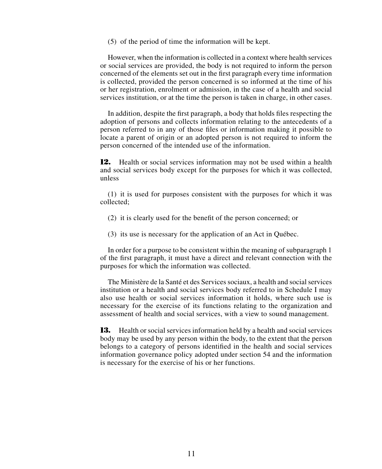(5) of the period of time the information will be kept.

However, when the information is collected in a context where health services or social services are provided, the body is not required to inform the person concerned of the elements set out in the first paragraph every time information is collected, provided the person concerned is so informed at the time of his or her registration, enrolment or admission, in the case of a health and social services institution, or at the time the person is taken in charge, in other cases.

In addition, despite the first paragraph, a body that holds files respecting the adoption of persons and collects information relating to the antecedents of a person referred to in any of those files or information making it possible to locate a parent of origin or an adopted person is not required to inform the person concerned of the intended use of the information.

**12.** Health or social services information may not be used within a health and social services body except for the purposes for which it was collected, unless

(1) it is used for purposes consistent with the purposes for which it was collected;

- (2) it is clearly used for the benefit of the person concerned; or
- (3) its use is necessary for the application of an Act in Québec.

In order for a purpose to be consistent within the meaning of subparagraph 1 of the first paragraph, it must have a direct and relevant connection with the purposes for which the information was collected.

The Ministère de la Santé et des Services sociaux, a health and social services institution or a health and social services body referred to in Schedule I may also use health or social services information it holds, where such use is necessary for the exercise of its functions relating to the organization and assessment of health and social services, with a view to sound management.

**13.** Health or social services information held by a health and social services body may be used by any person within the body, to the extent that the person belongs to a category of persons identified in the health and social services information governance policy adopted under section 54 and the information is necessary for the exercise of his or her functions.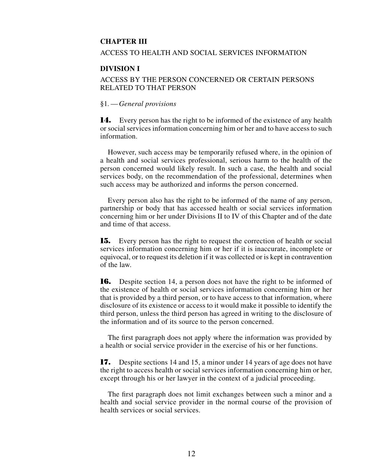## **CHAPTER III**

## ACCESS TO HEALTH AND SOCIAL SERVICES INFORMATION

#### **DIVISION I**

## ACCESS BY THE PERSON CONCERNED OR CERTAIN PERSONS RELATED TO THAT PERSON

#### §1*.*—*General provisions*

**14.** Every person has the right to be informed of the existence of any health or social services information concerning him or her and to have access to such information.

However, such access may be temporarily refused where, in the opinion of a health and social services professional, serious harm to the health of the person concerned would likely result. In such a case, the health and social services body, on the recommendation of the professional, determines when such access may be authorized and informs the person concerned.

Every person also has the right to be informed of the name of any person, partnership or body that has accessed health or social services information concerning him or her under Divisions II to IV of this Chapter and of the date and time of that access.

**15.** Every person has the right to request the correction of health or social services information concerning him or her if it is inaccurate, incomplete or equivocal, or to request its deletion if it was collected or is kept in contravention of the law.

**16.** Despite section 14, a person does not have the right to be informed of the existence of health or social services information concerning him or her that is provided by a third person, or to have access to that information, where disclosure of its existence or access to it would make it possible to identify the third person, unless the third person has agreed in writing to the disclosure of the information and of its source to the person concerned.

The first paragraph does not apply where the information was provided by a health or social service provider in the exercise of his or her functions.

**17.** Despite sections 14 and 15, a minor under 14 years of age does not have the right to access health or social services information concerning him or her, except through his or her lawyer in the context of a judicial proceeding.

The first paragraph does not limit exchanges between such a minor and a health and social service provider in the normal course of the provision of health services or social services.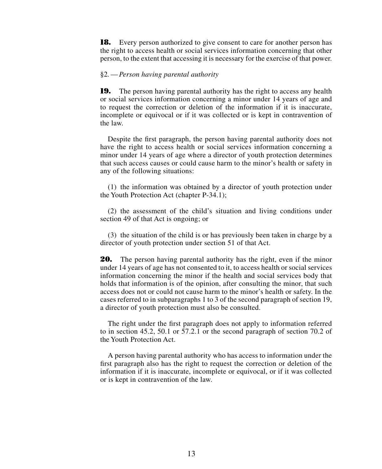**18.** Every person authorized to give consent to care for another person has the right to access health or social services information concerning that other person, to the extent that accessing it is necessary for the exercise of that power.

#### §2*.*—*Person having parental authority*

**19.** The person having parental authority has the right to access any health or social services information concerning a minor under 14 years of age and to request the correction or deletion of the information if it is inaccurate, incomplete or equivocal or if it was collected or is kept in contravention of the law.

Despite the first paragraph, the person having parental authority does not have the right to access health or social services information concerning a minor under 14 years of age where a director of youth protection determines that such access causes or could cause harm to the minor's health or safety in any of the following situations:

(1) the information was obtained by a director of youth protection under the Youth Protection Act (chapter P-34.1);

(2) the assessment of the child's situation and living conditions under section 49 of that Act is ongoing; or

(3) the situation of the child is or has previously been taken in charge by a director of youth protection under section 51 of that Act.

**20.** The person having parental authority has the right, even if the minor under 14 years of age has not consented to it, to access health or social services information concerning the minor if the health and social services body that holds that information is of the opinion, after consulting the minor, that such access does not or could not cause harm to the minor's health or safety. In the cases referred to in subparagraphs 1 to 3 of the second paragraph of section 19, a director of youth protection must also be consulted.

The right under the first paragraph does not apply to information referred to in section 45.2, 50.1 or 57.2.1 or the second paragraph of section 70.2 of the Youth Protection Act.

A person having parental authority who has access to information under the first paragraph also has the right to request the correction or deletion of the information if it is inaccurate, incomplete or equivocal, or if it was collected or is kept in contravention of the law.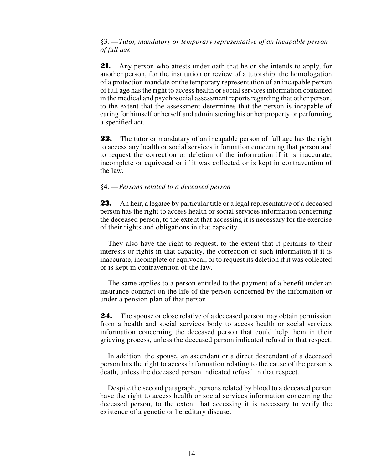§3*.*—*Tutor, mandatory or temporary representative of an incapable person of full age*

**21.** Any person who attests under oath that he or she intends to apply, for another person, for the institution or review of a tutorship, the homologation of a protection mandate or the temporary representation of an incapable person of full age has the right to access health or social services information contained in the medical and psychosocial assessment reports regarding that other person, to the extent that the assessment determines that the person is incapable of caring for himself or herself and administering his or her property or performing a specified act.

**22.** The tutor or mandatary of an incapable person of full age has the right to access any health or social services information concerning that person and to request the correction or deletion of the information if it is inaccurate, incomplete or equivocal or if it was collected or is kept in contravention of the law.

#### §4*.*—*Persons related to a deceased person*

**23.** An heir, a legatee by particular title or a legal representative of a deceased person has the right to access health or social services information concerning the deceased person, to the extent that accessing it is necessary for the exercise of their rights and obligations in that capacity.

They also have the right to request, to the extent that it pertains to their interests or rights in that capacity, the correction of such information if it is inaccurate, incomplete or equivocal, or to request its deletion if it was collected or is kept in contravention of the law.

The same applies to a person entitled to the payment of a benefit under an insurance contract on the life of the person concerned by the information or under a pension plan of that person.

**24.** The spouse or close relative of a deceased person may obtain permission from a health and social services body to access health or social services information concerning the deceased person that could help them in their grieving process, unless the deceased person indicated refusal in that respect.

In addition, the spouse, an ascendant or a direct descendant of a deceased person has the right to access information relating to the cause of the person's death, unless the deceased person indicated refusal in that respect.

Despite the second paragraph, persons related by blood to a deceased person have the right to access health or social services information concerning the deceased person, to the extent that accessing it is necessary to verify the existence of a genetic or hereditary disease.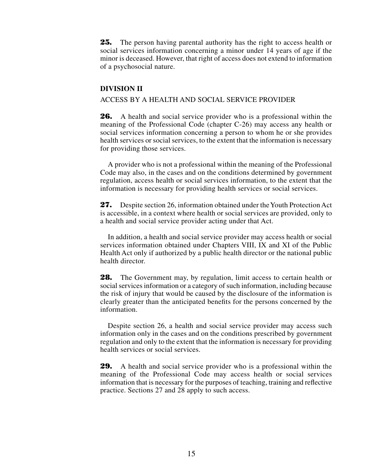**25.** The person having parental authority has the right to access health or social services information concerning a minor under 14 years of age if the minor is deceased. However, that right of access does not extend to information of a psychosocial nature.

#### **DIVISION II**

#### ACCESS BY A HEALTH AND SOCIAL SERVICE PROVIDER

**26.** A health and social service provider who is a professional within the meaning of the Professional Code (chapter C-26) may access any health or social services information concerning a person to whom he or she provides health services or social services, to the extent that the information is necessary for providing those services.

A provider who is not a professional within the meaning of the Professional Code may also, in the cases and on the conditions determined by government regulation, access health or social services information, to the extent that the information is necessary for providing health services or social services.

**27.** Despite section 26, information obtained under the Youth Protection Act is accessible, in a context where health or social services are provided, only to a health and social service provider acting under that Act.

In addition, a health and social service provider may access health or social services information obtained under Chapters VIII, IX and XI of the Public Health Act only if authorized by a public health director or the national public health director.

**28.** The Government may, by regulation, limit access to certain health or social services information or a category of such information, including because the risk of injury that would be caused by the disclosure of the information is clearly greater than the anticipated benefits for the persons concerned by the information.

Despite section 26, a health and social service provider may access such information only in the cases and on the conditions prescribed by government regulation and only to the extent that the information is necessary for providing health services or social services.

**29.** A health and social service provider who is a professional within the meaning of the Professional Code may access health or social services information that is necessary for the purposes of teaching, training and reflective practice. Sections 27 and 28 apply to such access.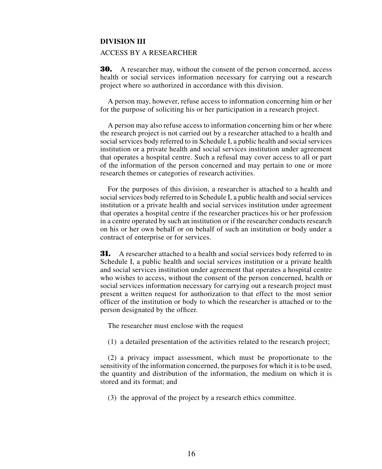#### **DIVISION III**

## ACCESS BY A RESEARCHER

**30.** A researcher may, without the consent of the person concerned, access health or social services information necessary for carrying out a research project where so authorized in accordance with this division.

A person may, however, refuse access to information concerning him or her for the purpose of soliciting his or her participation in a research project.

A person may also refuse access to information concerning him or her where the research project is not carried out by a researcher attached to a health and social services body referred to in Schedule I, a public health and social services institution or a private health and social services institution under agreement that operates a hospital centre. Such a refusal may cover access to all or part of the information of the person concerned and may pertain to one or more research themes or categories of research activities.

For the purposes of this division, a researcher is attached to a health and social services body referred to in Schedule I, a public health and social services institution or a private health and social services institution under agreement that operates a hospital centre if the researcher practices his or her profession in a centre operated by such an institution or if the researcher conducts research on his or her own behalf or on behalf of such an institution or body under a contract of enterprise or for services.

**31.** A researcher attached to a health and social services body referred to in Schedule I, a public health and social services institution or a private health and social services institution under agreement that operates a hospital centre who wishes to access, without the consent of the person concerned, health or social services information necessary for carrying out a research project must present a written request for authorization to that effect to the most senior officer of the institution or body to which the researcher is attached or to the person designated by the officer.

The researcher must enclose with the request

(1) a detailed presentation of the activities related to the research project;

(2) a privacy impact assessment, which must be proportionate to the sensitivity of the information concerned, the purposes for which it is to be used, the quantity and distribution of the information, the medium on which it is stored and its format; and

(3) the approval of the project by a research ethics committee.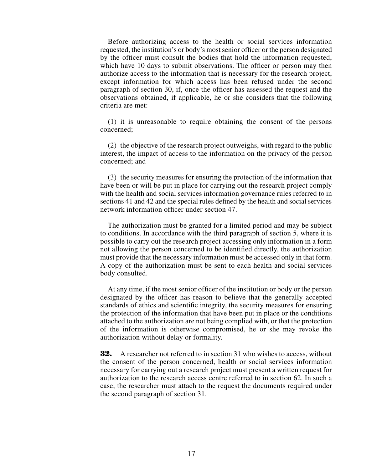Before authorizing access to the health or social services information requested, the institution's or body's most senior officer or the person designated by the officer must consult the bodies that hold the information requested, which have 10 days to submit observations. The officer or person may then authorize access to the information that is necessary for the research project, except information for which access has been refused under the second paragraph of section 30, if, once the officer has assessed the request and the observations obtained, if applicable, he or she considers that the following criteria are met:

(1) it is unreasonable to require obtaining the consent of the persons concerned;

(2) the objective of the research project outweighs, with regard to the public interest, the impact of access to the information on the privacy of the person concerned; and

(3) the security measures for ensuring the protection of the information that have been or will be put in place for carrying out the research project comply with the health and social services information governance rules referred to in sections 41 and 42 and the special rules defined by the health and social services network information officer under section 47.

The authorization must be granted for a limited period and may be subject to conditions. In accordance with the third paragraph of section 5, where it is possible to carry out the research project accessing only information in a form not allowing the person concerned to be identified directly, the authorization must provide that the necessary information must be accessed only in that form. A copy of the authorization must be sent to each health and social services body consulted.

At any time, if the most senior officer of the institution or body or the person designated by the officer has reason to believe that the generally accepted standards of ethics and scientific integrity, the security measures for ensuring the protection of the information that have been put in place or the conditions attached to the authorization are not being complied with, or that the protection of the information is otherwise compromised, he or she may revoke the authorization without delay or formality.

**32.** A researcher not referred to in section 31 who wishes to access, without the consent of the person concerned, health or social services information necessary for carrying out a research project must present a written request for authorization to the research access centre referred to in section 62. In such a case, the researcher must attach to the request the documents required under the second paragraph of section 31.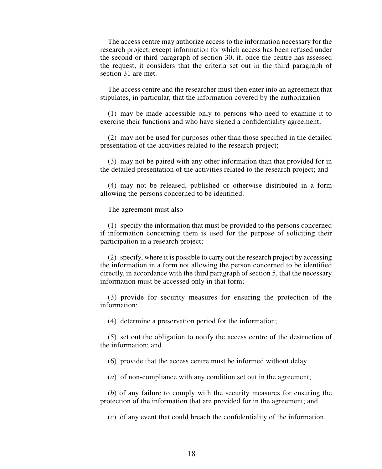The access centre may authorize access to the information necessary for the research project, except information for which access has been refused under the second or third paragraph of section 30, if, once the centre has assessed the request, it considers that the criteria set out in the third paragraph of section 31 are met.

The access centre and the researcher must then enter into an agreement that stipulates, in particular, that the information covered by the authorization

(1) may be made accessible only to persons who need to examine it to exercise their functions and who have signed a confidentiality agreement;

(2) may not be used for purposes other than those specified in the detailed presentation of the activities related to the research project;

(3) may not be paired with any other information than that provided for in the detailed presentation of the activities related to the research project; and

(4) may not be released, published or otherwise distributed in a form allowing the persons concerned to be identified.

The agreement must also

(1) specify the information that must be provided to the persons concerned if information concerning them is used for the purpose of soliciting their participation in a research project;

(2) specify, where it is possible to carry out the research project by accessing the information in a form not allowing the person concerned to be identified directly, in accordance with the third paragraph of section 5, that the necessary information must be accessed only in that form;

(3) provide for security measures for ensuring the protection of the information;

(4) determine a preservation period for the information;

(5) set out the obligation to notify the access centre of the destruction of the information; and

(6) provide that the access centre must be informed without delay

(*a*) of non-compliance with any condition set out in the agreement;

(*b*) of any failure to comply with the security measures for ensuring the protection of the information that are provided for in the agreement; and

(*c*) of any event that could breach the confidentiality of the information.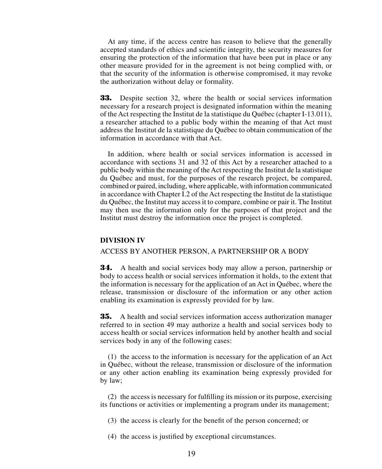At any time, if the access centre has reason to believe that the generally accepted standards of ethics and scientific integrity, the security measures for ensuring the protection of the information that have been put in place or any other measure provided for in the agreement is not being complied with, or that the security of the information is otherwise compromised, it may revoke the authorization without delay or formality.

**33.** Despite section 32, where the health or social services information necessary for a research project is designated information within the meaning of the Act respecting the Institut de la statistique du Québec (chapter I-13.011), a researcher attached to a public body within the meaning of that Act must address the Institut de la statistique du Québec to obtain communication of the information in accordance with that Act.

In addition, where health or social services information is accessed in accordance with sections 31 and 32 of this Act by a researcher attached to a public body within the meaning of the Act respecting the Institut de la statistique du Québec and must, for the purposes of the research project, be compared, combined or paired, including, where applicable, with information communicated in accordance with Chapter I.2 of the Act respecting the Institut de la statistique du Québec, the Institut may access it to compare, combine or pair it. The Institut may then use the information only for the purposes of that project and the Institut must destroy the information once the project is completed.

#### **DIVISION IV**

#### ACCESS BY ANOTHER PERSON, A PARTNERSHIP OR A BODY

**34.** A health and social services body may allow a person, partnership or body to access health or social services information it holds, to the extent that the information is necessary for the application of an Act in Québec, where the release, transmission or disclosure of the information or any other action enabling its examination is expressly provided for by law.

**35.** A health and social services information access authorization manager referred to in section 49 may authorize a health and social services body to access health or social services information held by another health and social services body in any of the following cases:

(1) the access to the information is necessary for the application of an Act in Québec, without the release, transmission or disclosure of the information or any other action enabling its examination being expressly provided for by law;

(2) the access is necessary for fulfilling its mission or its purpose, exercising its functions or activities or implementing a program under its management;

(3) the access is clearly for the benefit of the person concerned; or

(4) the access is justified by exceptional circumstances.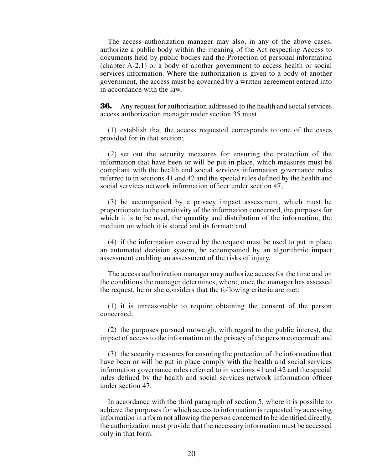The access authorization manager may also, in any of the above cases, authorize a public body within the meaning of the Act respecting Access to documents held by public bodies and the Protection of personal information (chapter A-2.1) or a body of another government to access health or social services information. Where the authorization is given to a body of another government, the access must be governed by a written agreement entered into in accordance with the law.

**36.** Any request for authorization addressed to the health and social services access authorization manager under section 35 must

(1) establish that the access requested corresponds to one of the cases provided for in that section;

(2) set out the security measures for ensuring the protection of the information that have been or will be put in place, which measures must be compliant with the health and social services information governance rules referred to in sections 41 and 42 and the special rules defined by the health and social services network information officer under section 47;

(3) be accompanied by a privacy impact assessment, which must be proportionate to the sensitivity of the information concerned, the purposes for which it is to be used, the quantity and distribution of the information, the medium on which it is stored and its format; and

(4) if the information covered by the request must be used to put in place an automated decision system, be accompanied by an algorithmic impact assessment enabling an assessment of the risks of injury.

The access authorization manager may authorize access for the time and on the conditions the manager determines, where, once the manager has assessed the request, he or she considers that the following criteria are met:

(1) it is unreasonable to require obtaining the consent of the person concerned;

(2) the purposes pursued outweigh, with regard to the public interest, the impact of access to the information on the privacy of the person concerned; and

(3) the security measures for ensuring the protection of the information that have been or will be put in place comply with the health and social services information governance rules referred to in sections 41 and 42 and the special rules defined by the health and social services network information officer under section 47.

In accordance with the third paragraph of section 5, where it is possible to achieve the purposes for which access to information is requested by accessing information in a form not allowing the person concerned to be identified directly, the authorization must provide that the necessary information must be accessed only in that form.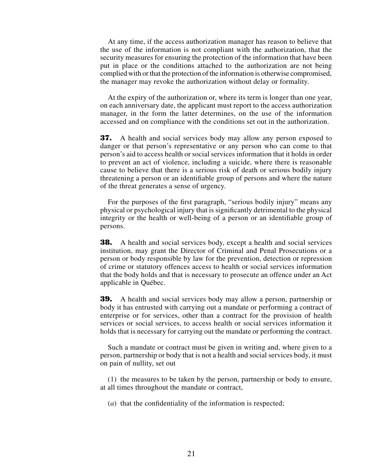At any time, if the access authorization manager has reason to believe that the use of the information is not compliant with the authorization, that the security measures for ensuring the protection of the information that have been put in place or the conditions attached to the authorization are not being complied with or that the protection of the information is otherwise compromised, the manager may revoke the authorization without delay or formality.

At the expiry of the authorization or, where its term is longer than one year, on each anniversary date, the applicant must report to the access authorization manager, in the form the latter determines, on the use of the information accessed and on compliance with the conditions set out in the authorization.

**37.** A health and social services body may allow any person exposed to danger or that person's representative or any person who can come to that person's aid to access health or social services information that it holds in order to prevent an act of violence, including a suicide, where there is reasonable cause to believe that there is a serious risk of death or serious bodily injury threatening a person or an identifiable group of persons and where the nature of the threat generates a sense of urgency.

For the purposes of the first paragraph, "serious bodily injury" means any physical or psychological injury that is significantly detrimental to the physical integrity or the health or well-being of a person or an identifiable group of persons.

**38.** A health and social services body, except a health and social services institution, may grant the Director of Criminal and Penal Prosecutions or a person or body responsible by law for the prevention, detection or repression of crime or statutory offences access to health or social services information that the body holds and that is necessary to prosecute an offence under an Act applicable in Québec.

**39.** A health and social services body may allow a person, partnership or body it has entrusted with carrying out a mandate or performing a contract of enterprise or for services, other than a contract for the provision of health services or social services, to access health or social services information it holds that is necessary for carrying out the mandate or performing the contract.

Such a mandate or contract must be given in writing and, where given to a person, partnership or body that is not a health and social services body, it must on pain of nullity, set out

(1) the measures to be taken by the person, partnership or body to ensure, at all times throughout the mandate or contract,

(*a*) that the confidentiality of the information is respected;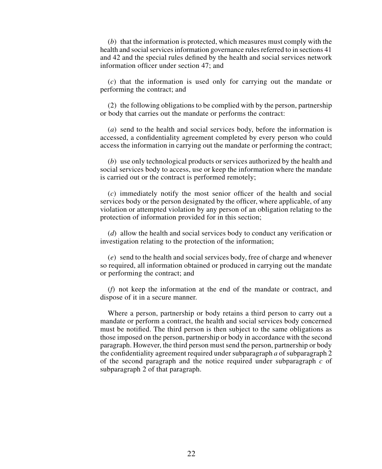(*b*) that the information is protected, which measures must comply with the health and social services information governance rules referred to in sections 41 and 42 and the special rules defined by the health and social services network information officer under section 47; and

(*c*) that the information is used only for carrying out the mandate or performing the contract; and

(2) the following obligations to be complied with by the person, partnership or body that carries out the mandate or performs the contract:

(*a*) send to the health and social services body, before the information is accessed, a confidentiality agreement completed by every person who could access the information in carrying out the mandate or performing the contract;

(*b*) use only technological products or services authorized by the health and social services body to access, use or keep the information where the mandate is carried out or the contract is performed remotely;

(*c*) immediately notify the most senior officer of the health and social services body or the person designated by the officer, where applicable, of any violation or attempted violation by any person of an obligation relating to the protection of information provided for in this section;

(*d*) allow the health and social services body to conduct any verification or investigation relating to the protection of the information;

(*e*) send to the health and social services body, free of charge and whenever so required, all information obtained or produced in carrying out the mandate or performing the contract; and

(*f*) not keep the information at the end of the mandate or contract, and dispose of it in a secure manner.

Where a person, partnership or body retains a third person to carry out a mandate or perform a contract, the health and social services body concerned must be notified. The third person is then subject to the same obligations as those imposed on the person, partnership or body in accordance with the second paragraph. However, the third person must send the person, partnership or body the confidentiality agreement required under subparagraph *a* of subparagraph 2 of the second paragraph and the notice required under subparagraph *c* of subparagraph 2 of that paragraph.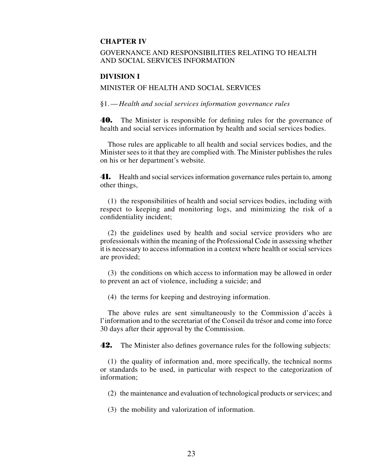## **CHAPTER IV**

## GOVERNANCE AND RESPONSIBILITIES RELATING TO HEALTH AND SOCIAL SERVICES INFORMATION

#### **DIVISION I**

#### MINISTER OF HEALTH AND SOCIAL SERVICES

§1.—*Health and social services information governance rules*

**40.** The Minister is responsible for defining rules for the governance of health and social services information by health and social services bodies.

Those rules are applicable to all health and social services bodies, and the Minister sees to it that they are complied with. The Minister publishes the rules on his or her department's website.

**41.** Health and social services information governance rules pertain to, among other things,

(1) the responsibilities of health and social services bodies, including with respect to keeping and monitoring logs, and minimizing the risk of a confidentiality incident;

(2) the guidelines used by health and social service providers who are professionals within the meaning of the Professional Code in assessing whether it is necessary to access information in a context where health or social services are provided;

(3) the conditions on which access to information may be allowed in order to prevent an act of violence, including a suicide; and

(4) the terms for keeping and destroying information.

The above rules are sent simultaneously to the Commission d'accès à l'information and to the secretariat of the Conseil du trésor and come into force 30 days after their approval by the Commission.

**42.** The Minister also defines governance rules for the following subjects:

(1) the quality of information and, more specifically, the technical norms or standards to be used, in particular with respect to the categorization of information;

(2) the maintenance and evaluation of technological products or services; and

(3) the mobility and valorization of information.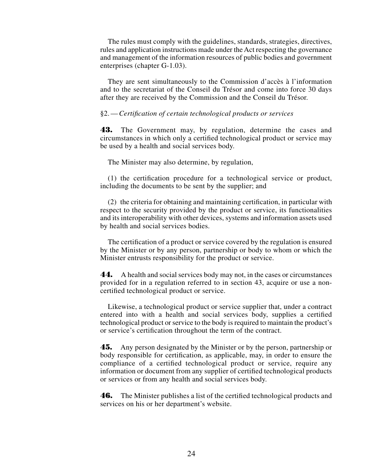The rules must comply with the guidelines, standards, strategies, directives, rules and application instructions made under the Act respecting the governance and management of the information resources of public bodies and government enterprises (chapter G-1.03).

They are sent simultaneously to the Commission d'accès à l'information and to the secretariat of the Conseil du Trésor and come into force 30 days after they are received by the Commission and the Conseil du Trésor.

#### §2.—*Certification of certain technological products or services*

**43.** The Government may, by regulation, determine the cases and circumstances in which only a certified technological product or service may be used by a health and social services body.

The Minister may also determine, by regulation,

(1) the certification procedure for a technological service or product, including the documents to be sent by the supplier; and

(2) the criteria for obtaining and maintaining certification, in particular with respect to the security provided by the product or service, its functionalities and its interoperability with other devices, systems and information assets used by health and social services bodies.

The certification of a product or service covered by the regulation is ensured by the Minister or by any person, partnership or body to whom or which the Minister entrusts responsibility for the product or service.

**44.** A health and social services body may not, in the cases or circumstances provided for in a regulation referred to in section 43, acquire or use a noncertified technological product or service.

Likewise, a technological product or service supplier that, under a contract entered into with a health and social services body, supplies a certified technological product or service to the body is required to maintain the product's or service's certification throughout the term of the contract.

**45.** Any person designated by the Minister or by the person, partnership or body responsible for certification, as applicable, may, in order to ensure the compliance of a certified technological product or service, require any information or document from any supplier of certified technological products or services or from any health and social services body.

**46.** The Minister publishes a list of the certified technological products and services on his or her department's website.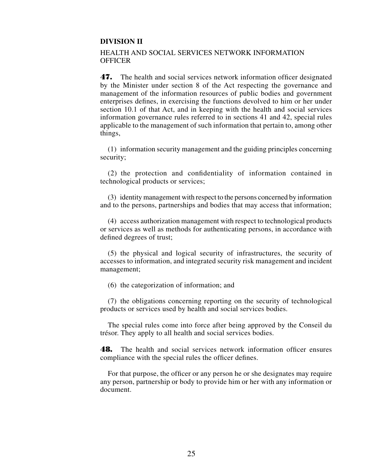#### **DIVISION II**

#### HEALTH AND SOCIAL SERVICES NETWORK INFORMATION **OFFICER**

**47.** The health and social services network information officer designated by the Minister under section 8 of the Act respecting the governance and management of the information resources of public bodies and government enterprises defines, in exercising the functions devolved to him or her under section 10.1 of that Act, and in keeping with the health and social services information governance rules referred to in sections 41 and 42, special rules applicable to the management of such information that pertain to, among other things,

(1) information security management and the guiding principles concerning security;

(2) the protection and confidentiality of information contained in technological products or services;

(3) identity management with respect to the persons concerned by information and to the persons, partnerships and bodies that may access that information;

(4) access authorization management with respect to technological products or services as well as methods for authenticating persons, in accordance with defined degrees of trust;

(5) the physical and logical security of infrastructures, the security of accesses to information, and integrated security risk management and incident management;

(6) the categorization of information; and

(7) the obligations concerning reporting on the security of technological products or services used by health and social services bodies.

The special rules come into force after being approved by the Conseil du trésor. They apply to all health and social services bodies.

**48.** The health and social services network information officer ensures compliance with the special rules the officer defines.

For that purpose, the officer or any person he or she designates may require any person, partnership or body to provide him or her with any information or document.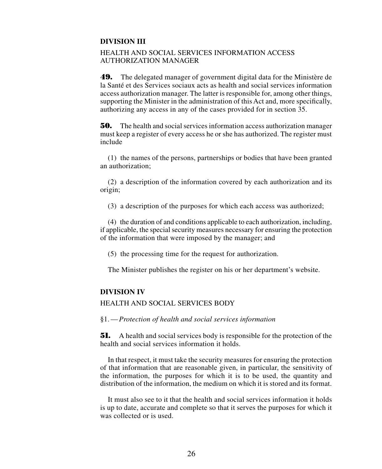## **DIVISION III**

## HEALTH AND SOCIAL SERVICES INFORMATION ACCESS AUTHORIZATION MANAGER

**49.** The delegated manager of government digital data for the Ministère de la Santé et des Services sociaux acts as health and social services information access authorization manager. The latter is responsible for, among other things, supporting the Minister in the administration of this Act and, more specifically, authorizing any access in any of the cases provided for in section 35.

**50.** The health and social services information access authorization manager must keep a register of every access he or she has authorized. The register must include

(1) the names of the persons, partnerships or bodies that have been granted an authorization;

(2) a description of the information covered by each authorization and its origin;

(3) a description of the purposes for which each access was authorized;

(4) the duration of and conditions applicable to each authorization, including, if applicable, the special security measures necessary for ensuring the protection of the information that were imposed by the manager; and

(5) the processing time for the request for authorization.

The Minister publishes the register on his or her department's website.

#### **DIVISION IV**

## HEALTH AND SOCIAL SERVICES BODY

§1.—*Protection of health and social services information*

**51.** A health and social services body is responsible for the protection of the health and social services information it holds.

In that respect, it must take the security measures for ensuring the protection of that information that are reasonable given, in particular, the sensitivity of the information, the purposes for which it is to be used, the quantity and distribution of the information, the medium on which it is stored and its format.

It must also see to it that the health and social services information it holds is up to date, accurate and complete so that it serves the purposes for which it was collected or is used.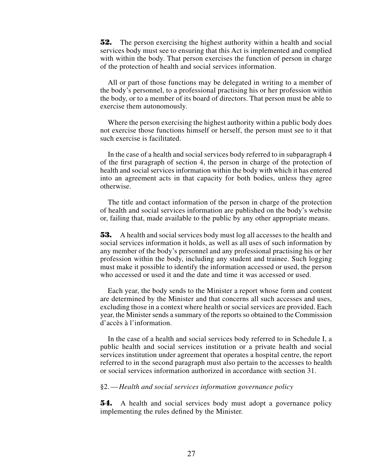**52.** The person exercising the highest authority within a health and social services body must see to ensuring that this Act is implemented and complied with within the body. That person exercises the function of person in charge of the protection of health and social services information.

All or part of those functions may be delegated in writing to a member of the body's personnel, to a professional practising his or her profession within the body, or to a member of its board of directors. That person must be able to exercise them autonomously.

Where the person exercising the highest authority within a public body does not exercise those functions himself or herself, the person must see to it that such exercise is facilitated.

In the case of a health and social services body referred to in subparagraph 4 of the first paragraph of section 4, the person in charge of the protection of health and social services information within the body with which it has entered into an agreement acts in that capacity for both bodies, unless they agree otherwise.

The title and contact information of the person in charge of the protection of health and social services information are published on the body's website or, failing that, made available to the public by any other appropriate means.

**53.** A health and social services body must log all accesses to the health and social services information it holds, as well as all uses of such information by any member of the body's personnel and any professional practising his or her profession within the body, including any student and trainee. Such logging must make it possible to identify the information accessed or used, the person who accessed or used it and the date and time it was accessed or used.

Each year, the body sends to the Minister a report whose form and content are determined by the Minister and that concerns all such accesses and uses, excluding those in a context where health or social services are provided. Each year, the Minister sends a summary of the reports so obtained to the Commission d'accès à l'information.

In the case of a health and social services body referred to in Schedule I, a public health and social services institution or a private health and social services institution under agreement that operates a hospital centre, the report referred to in the second paragraph must also pertain to the accesses to health or social services information authorized in accordance with section 31.

#### §2.—*Health and social services information governance policy*

**54.** A health and social services body must adopt a governance policy implementing the rules defined by the Minister.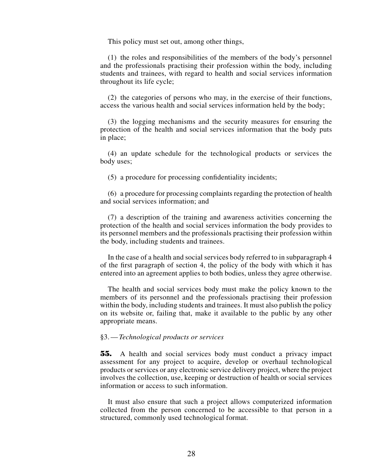This policy must set out, among other things,

(1) the roles and responsibilities of the members of the body's personnel and the professionals practising their profession within the body, including students and trainees, with regard to health and social services information throughout its life cycle;

(2) the categories of persons who may, in the exercise of their functions, access the various health and social services information held by the body;

(3) the logging mechanisms and the security measures for ensuring the protection of the health and social services information that the body puts in place;

(4) an update schedule for the technological products or services the body uses;

(5) a procedure for processing confidentiality incidents;

(6) a procedure for processing complaints regarding the protection of health and social services information; and

(7) a description of the training and awareness activities concerning the protection of the health and social services information the body provides to its personnel members and the professionals practising their profession within the body, including students and trainees.

In the case of a health and social services body referred to in subparagraph 4 of the first paragraph of section 4, the policy of the body with which it has entered into an agreement applies to both bodies, unless they agree otherwise.

The health and social services body must make the policy known to the members of its personnel and the professionals practising their profession within the body, including students and trainees. It must also publish the policy on its website or, failing that, make it available to the public by any other appropriate means.

#### §3.—*Technological products or services*

**55.** A health and social services body must conduct a privacy impact assessment for any project to acquire, develop or overhaul technological products or services or any electronic service delivery project, where the project involves the collection, use, keeping or destruction of health or social services information or access to such information.

It must also ensure that such a project allows computerized information collected from the person concerned to be accessible to that person in a structured, commonly used technological format.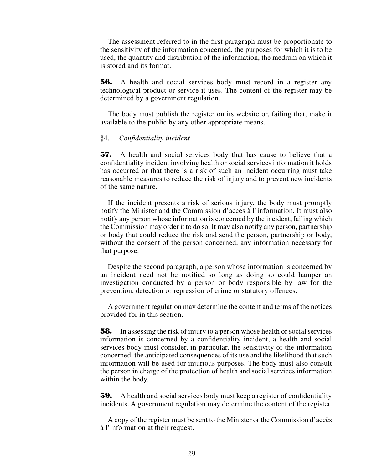The assessment referred to in the first paragraph must be proportionate to the sensitivity of the information concerned, the purposes for which it is to be used, the quantity and distribution of the information, the medium on which it is stored and its format.

**56.** A health and social services body must record in a register any technological product or service it uses. The content of the register may be determined by a government regulation.

The body must publish the register on its website or, failing that, make it available to the public by any other appropriate means.

#### §4.—*Confidentiality incident*

**57.** A health and social services body that has cause to believe that a confidentiality incident involving health or social services information it holds has occurred or that there is a risk of such an incident occurring must take reasonable measures to reduce the risk of injury and to prevent new incidents of the same nature.

If the incident presents a risk of serious injury, the body must promptly notify the Minister and the Commission d'accès à l'information. It must also notify any person whose information is concerned by the incident, failing which the Commission may order it to do so. It may also notify any person, partnership or body that could reduce the risk and send the person, partnership or body, without the consent of the person concerned, any information necessary for that purpose.

Despite the second paragraph, a person whose information is concerned by an incident need not be notified so long as doing so could hamper an investigation conducted by a person or body responsible by law for the prevention, detection or repression of crime or statutory offences.

A government regulation may determine the content and terms of the notices provided for in this section.

**58.** In assessing the risk of injury to a person whose health or social services information is concerned by a confidentiality incident, a health and social services body must consider, in particular, the sensitivity of the information concerned, the anticipated consequences of its use and the likelihood that such information will be used for injurious purposes. The body must also consult the person in charge of the protection of health and social services information within the body.

**59.** A health and social services body must keep a register of confidentiality incidents. A government regulation may determine the content of the register.

A copy of the register must be sent to the Minister or the Commission d'accès à l'information at their request.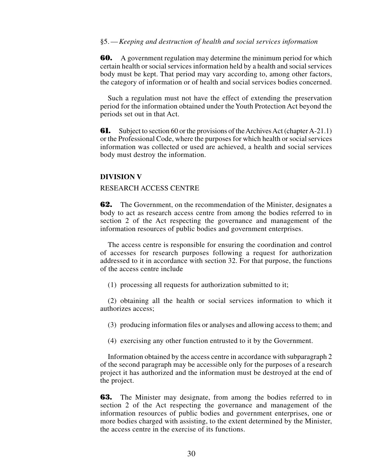#### §5.—*Keeping and destruction of health and social services information*

**60.** A government regulation may determine the minimum period for which certain health or social services information held by a health and social services body must be kept. That period may vary according to, among other factors, the category of information or of health and social services bodies concerned.

Such a regulation must not have the effect of extending the preservation period for the information obtained under the Youth Protection Act beyond the periods set out in that Act.

**61.** Subject to section 60 or the provisions of the Archives Act (chapter A-21.1) or the Professional Code, where the purposes for which health or social services information was collected or used are achieved, a health and social services body must destroy the information.

#### **DIVISION V**

#### RESEARCH ACCESS CENTRE

**62.** The Government, on the recommendation of the Minister, designates a body to act as research access centre from among the bodies referred to in section 2 of the Act respecting the governance and management of the information resources of public bodies and government enterprises.

The access centre is responsible for ensuring the coordination and control of accesses for research purposes following a request for authorization addressed to it in accordance with section 32. For that purpose, the functions of the access centre include

(1) processing all requests for authorization submitted to it;

(2) obtaining all the health or social services information to which it authorizes access;

(3) producing information files or analyses and allowing access to them; and

(4) exercising any other function entrusted to it by the Government.

Information obtained by the access centre in accordance with subparagraph 2 of the second paragraph may be accessible only for the purposes of a research project it has authorized and the information must be destroyed at the end of the project.

**63.** The Minister may designate, from among the bodies referred to in section 2 of the Act respecting the governance and management of the information resources of public bodies and government enterprises, one or more bodies charged with assisting, to the extent determined by the Minister, the access centre in the exercise of its functions.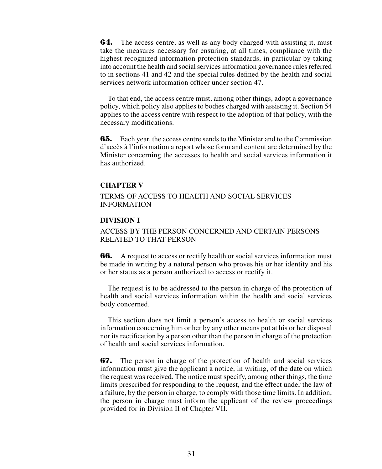**64.** The access centre, as well as any body charged with assisting it, must take the measures necessary for ensuring, at all times, compliance with the highest recognized information protection standards, in particular by taking into account the health and social services information governance rules referred to in sections 41 and 42 and the special rules defined by the health and social services network information officer under section 47.

To that end, the access centre must, among other things, adopt a governance policy, which policy also applies to bodies charged with assisting it. Section 54 applies to the access centre with respect to the adoption of that policy, with the necessary modifications.

**65.** Each year, the access centre sends to the Minister and to the Commission d'accès à l'information a report whose form and content are determined by the Minister concerning the accesses to health and social services information it has authorized.

## **CHAPTER V**

### TERMS OF ACCESS TO HEALTH AND SOCIAL SERVICES INFORMATION

## **DIVISION I**

## ACCESS BY THE PERSON CONCERNED AND CERTAIN PERSONS RELATED TO THAT PERSON

**66.** A request to access or rectify health or social services information must be made in writing by a natural person who proves his or her identity and his or her status as a person authorized to access or rectify it.

The request is to be addressed to the person in charge of the protection of health and social services information within the health and social services body concerned.

This section does not limit a person's access to health or social services information concerning him or her by any other means put at his or her disposal nor its rectification by a person other than the person in charge of the protection of health and social services information.

**67.** The person in charge of the protection of health and social services information must give the applicant a notice, in writing, of the date on which the request was received. The notice must specify, among other things, the time limits prescribed for responding to the request, and the effect under the law of a failure, by the person in charge, to comply with those time limits. In addition, the person in charge must inform the applicant of the review proceedings provided for in Division II of Chapter VII.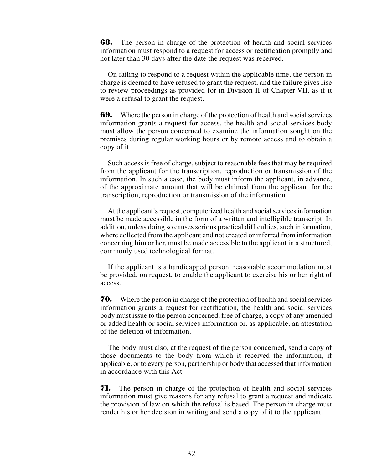**68.** The person in charge of the protection of health and social services information must respond to a request for access or rectification promptly and not later than 30 days after the date the request was received.

On failing to respond to a request within the applicable time, the person in charge is deemed to have refused to grant the request, and the failure gives rise to review proceedings as provided for in Division II of Chapter VII, as if it were a refusal to grant the request.

**69.** Where the person in charge of the protection of health and social services information grants a request for access, the health and social services body must allow the person concerned to examine the information sought on the premises during regular working hours or by remote access and to obtain a copy of it.

Such access is free of charge, subject to reasonable fees that may be required from the applicant for the transcription, reproduction or transmission of the information. In such a case, the body must inform the applicant, in advance, of the approximate amount that will be claimed from the applicant for the transcription, reproduction or transmission of the information.

At the applicant's request, computerized health and social services information must be made accessible in the form of a written and intelligible transcript. In addition, unless doing so causes serious practical difficulties, such information, where collected from the applicant and not created or inferred from information concerning him or her, must be made accessible to the applicant in a structured, commonly used technological format.

If the applicant is a handicapped person, reasonable accommodation must be provided, on request, to enable the applicant to exercise his or her right of access.

**70.** Where the person in charge of the protection of health and social services information grants a request for rectification, the health and social services body must issue to the person concerned, free of charge, a copy of any amended or added health or social services information or, as applicable, an attestation of the deletion of information.

The body must also, at the request of the person concerned, send a copy of those documents to the body from which it received the information, if applicable, or to every person, partnership or body that accessed that information in accordance with this Act.

**71.** The person in charge of the protection of health and social services information must give reasons for any refusal to grant a request and indicate the provision of law on which the refusal is based. The person in charge must render his or her decision in writing and send a copy of it to the applicant.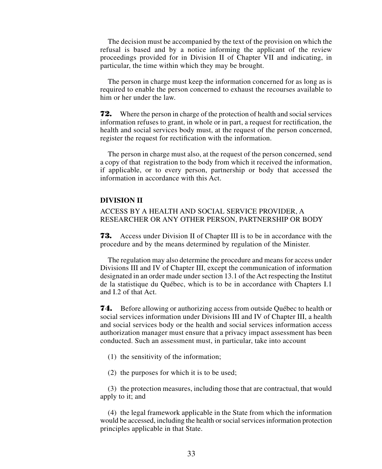The decision must be accompanied by the text of the provision on which the refusal is based and by a notice informing the applicant of the review proceedings provided for in Division II of Chapter VII and indicating, in particular, the time within which they may be brought.

The person in charge must keep the information concerned for as long as is required to enable the person concerned to exhaust the recourses available to him or her under the law.

**72.** Where the person in charge of the protection of health and social services information refuses to grant, in whole or in part, a request for rectification, the health and social services body must, at the request of the person concerned, register the request for rectification with the information.

The person in charge must also, at the request of the person concerned, send a copy of that registration to the body from which it received the information, if applicable, or to every person, partnership or body that accessed the information in accordance with this Act.

## **DIVISION II**

## ACCESS BY A HEALTH AND SOCIAL SERVICE PROVIDER, A RESEARCHER OR ANY OTHER PERSON, PARTNERSHIP OR BODY

**73.** Access under Division II of Chapter III is to be in accordance with the procedure and by the means determined by regulation of the Minister.

The regulation may also determine the procedure and means for access under Divisions III and IV of Chapter III, except the communication of information designated in an order made under section 13.1 of the Act respecting the Institut de la statistique du Québec, which is to be in accordance with Chapters I.1 and I.2 of that Act.

**74.** Before allowing or authorizing access from outside Québec to health or social services information under Divisions III and IV of Chapter III, a health and social services body or the health and social services information access authorization manager must ensure that a privacy impact assessment has been conducted. Such an assessment must, in particular, take into account

- (1) the sensitivity of the information;
- (2) the purposes for which it is to be used;

(3) the protection measures, including those that are contractual, that would apply to it; and

(4) the legal framework applicable in the State from which the information would be accessed, including the health or social services information protection principles applicable in that State.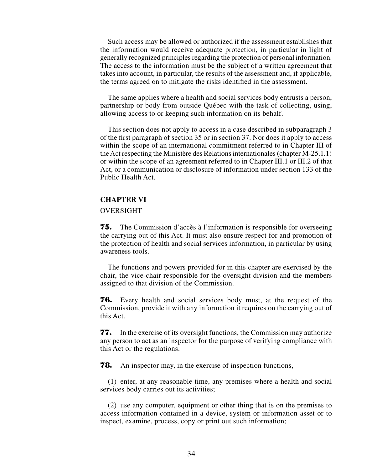Such access may be allowed or authorized if the assessment establishes that the information would receive adequate protection, in particular in light of generally recognized principles regarding the protection of personal information. The access to the information must be the subject of a written agreement that takes into account, in particular, the results of the assessment and, if applicable, the terms agreed on to mitigate the risks identified in the assessment.

The same applies where a health and social services body entrusts a person, partnership or body from outside Québec with the task of collecting, using, allowing access to or keeping such information on its behalf.

This section does not apply to access in a case described in subparagraph 3 of the first paragraph of section 35 or in section 37. Nor does it apply to access within the scope of an international commitment referred to in Chapter III of the Act respecting the Ministère des Relations internationales (chapter M-25.1.1) or within the scope of an agreement referred to in Chapter III.1 or III.2 of that Act, or a communication or disclosure of information under section 133 of the Public Health Act.

#### **CHAPTER VI**

#### OVERSIGHT

**75.** The Commission d'accès à l'information is responsible for overseeing the carrying out of this Act. It must also ensure respect for and promotion of the protection of health and social services information, in particular by using awareness tools.

The functions and powers provided for in this chapter are exercised by the chair, the vice-chair responsible for the oversight division and the members assigned to that division of the Commission.

**76.** Every health and social services body must, at the request of the Commission, provide it with any information it requires on the carrying out of this Act.

**77.** In the exercise of its oversight functions, the Commission may authorize any person to act as an inspector for the purpose of verifying compliance with this Act or the regulations.

**78.** An inspector may, in the exercise of inspection functions,

(1) enter, at any reasonable time, any premises where a health and social services body carries out its activities;

(2) use any computer, equipment or other thing that is on the premises to access information contained in a device, system or information asset or to inspect, examine, process, copy or print out such information;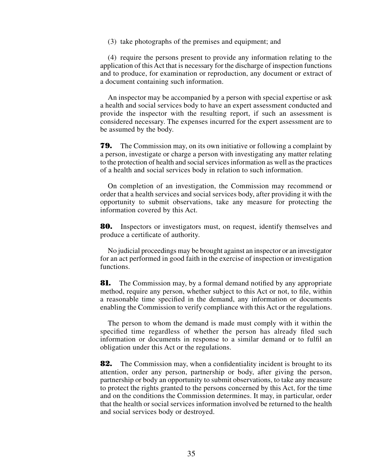(3) take photographs of the premises and equipment; and

(4) require the persons present to provide any information relating to the application of this Act that is necessary for the discharge of inspection functions and to produce, for examination or reproduction, any document or extract of a document containing such information.

An inspector may be accompanied by a person with special expertise or ask a health and social services body to have an expert assessment conducted and provide the inspector with the resulting report, if such an assessment is considered necessary. The expenses incurred for the expert assessment are to be assumed by the body.

**79.** The Commission may, on its own initiative or following a complaint by a person, investigate or charge a person with investigating any matter relating to the protection of health and social services information as well as the practices of a health and social services body in relation to such information.

On completion of an investigation, the Commission may recommend or order that a health services and social services body, after providing it with the opportunity to submit observations, take any measure for protecting the information covered by this Act.

**80.** Inspectors or investigators must, on request, identify themselves and produce a certificate of authority.

No judicial proceedings may be brought against an inspector or an investigator for an act performed in good faith in the exercise of inspection or investigation functions.

**81.** The Commission may, by a formal demand notified by any appropriate method, require any person, whether subject to this Act or not, to file, within a reasonable time specified in the demand, any information or documents enabling the Commission to verify compliance with this Act or the regulations.

The person to whom the demand is made must comply with it within the specified time regardless of whether the person has already filed such information or documents in response to a similar demand or to fulfil an obligation under this Act or the regulations.

**82.** The Commission may, when a confidentiality incident is brought to its attention, order any person, partnership or body, after giving the person, partnership or body an opportunity to submit observations, to take any measure to protect the rights granted to the persons concerned by this Act, for the time and on the conditions the Commission determines. It may, in particular, order that the health or social services information involved be returned to the health and social services body or destroyed.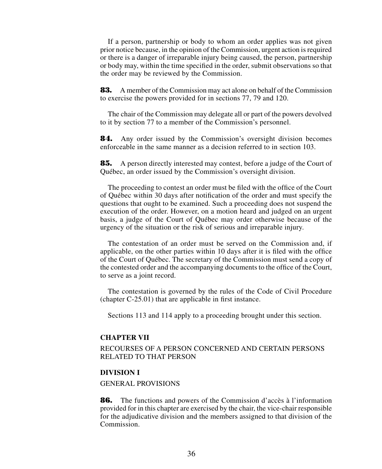If a person, partnership or body to whom an order applies was not given prior notice because, in the opinion of the Commission, urgent action is required or there is a danger of irreparable injury being caused, the person, partnership or body may, within the time specified in the order, submit observations so that the order may be reviewed by the Commission.

**83.** A member of the Commission may act alone on behalf of the Commission to exercise the powers provided for in sections 77, 79 and 120.

The chair of the Commission may delegate all or part of the powers devolved to it by section 77 to a member of the Commission's personnel.

**84.** Any order issued by the Commission's oversight division becomes enforceable in the same manner as a decision referred to in section 103.

**85.** A person directly interested may contest, before a judge of the Court of Québec, an order issued by the Commission's oversight division.

The proceeding to contest an order must be filed with the office of the Court of Québec within 30 days after notification of the order and must specify the questions that ought to be examined. Such a proceeding does not suspend the execution of the order. However, on a motion heard and judged on an urgent basis, a judge of the Court of Québec may order otherwise because of the urgency of the situation or the risk of serious and irreparable injury.

The contestation of an order must be served on the Commission and, if applicable, on the other parties within 10 days after it is filed with the office of the Court of Québec. The secretary of the Commission must send a copy of the contested order and the accompanying documents to the office of the Court, to serve as a joint record.

The contestation is governed by the rules of the Code of Civil Procedure (chapter C-25.01) that are applicable in first instance.

Sections 113 and 114 apply to a proceeding brought under this section.

#### **CHAPTER VII**

RECOURSES OF A PERSON CONCERNED AND CERTAIN PERSONS RELATED TO THAT PERSON

#### **DIVISION I**

#### GENERAL PROVISIONS

**86.** The functions and powers of the Commission d'accès à l'information provided for in this chapter are exercised by the chair, the vice-chair responsible for the adjudicative division and the members assigned to that division of the Commission.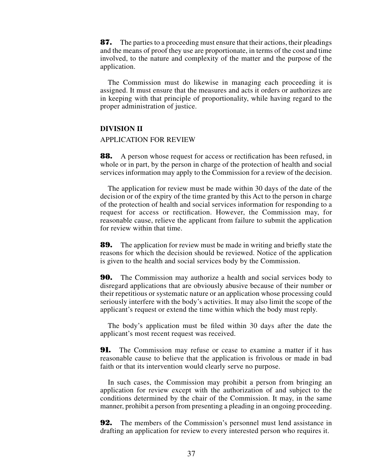**87.** The parties to a proceeding must ensure that their actions, their pleadings and the means of proof they use are proportionate, in terms of the cost and time involved, to the nature and complexity of the matter and the purpose of the application.

The Commission must do likewise in managing each proceeding it is assigned. It must ensure that the measures and acts it orders or authorizes are in keeping with that principle of proportionality, while having regard to the proper administration of justice.

## **DIVISION II**

#### APPLICATION FOR REVIEW

**88.** A person whose request for access or rectification has been refused, in whole or in part, by the person in charge of the protection of health and social services information may apply to the Commission for a review of the decision.

The application for review must be made within 30 days of the date of the decision or of the expiry of the time granted by this Act to the person in charge of the protection of health and social services information for responding to a request for access or rectification. However, the Commission may, for reasonable cause, relieve the applicant from failure to submit the application for review within that time.

**89.** The application for review must be made in writing and briefly state the reasons for which the decision should be reviewed. Notice of the application is given to the health and social services body by the Commission.

**90.** The Commission may authorize a health and social services body to disregard applications that are obviously abusive because of their number or their repetitious or systematic nature or an application whose processing could seriously interfere with the body's activities. It may also limit the scope of the applicant's request or extend the time within which the body must reply.

The body's application must be filed within 30 days after the date the applicant's most recent request was received.

**91.** The Commission may refuse or cease to examine a matter if it has reasonable cause to believe that the application is frivolous or made in bad faith or that its intervention would clearly serve no purpose.

In such cases, the Commission may prohibit a person from bringing an application for review except with the authorization of and subject to the conditions determined by the chair of the Commission. It may, in the same manner, prohibit a person from presenting a pleading in an ongoing proceeding.

**92.** The members of the Commission's personnel must lend assistance in drafting an application for review to every interested person who requires it.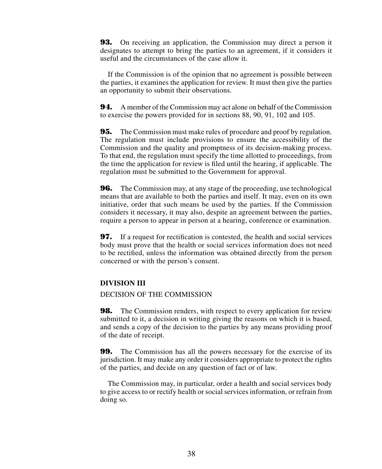**93.** On receiving an application, the Commission may direct a person it designates to attempt to bring the parties to an agreement, if it considers it useful and the circumstances of the case allow it.

If the Commission is of the opinion that no agreement is possible between the parties, it examines the application for review. It must then give the parties an opportunity to submit their observations.

**94.** A member of the Commission may act alone on behalf of the Commission to exercise the powers provided for in sections 88, 90, 91, 102 and 105.

**95.** The Commission must make rules of procedure and proof by regulation. The regulation must include provisions to ensure the accessibility of the Commission and the quality and promptness of its decision-making process. To that end, the regulation must specify the time allotted to proceedings, from the time the application for review is filed until the hearing, if applicable. The regulation must be submitted to the Government for approval.

**96.** The Commission may, at any stage of the proceeding, use technological means that are available to both the parties and itself. It may, even on its own initiative, order that such means be used by the parties. If the Commission considers it necessary, it may also, despite an agreement between the parties, require a person to appear in person at a hearing, conference or examination.

**97.** If a request for rectification is contested, the health and social services body must prove that the health or social services information does not need to be rectified, unless the information was obtained directly from the person concerned or with the person's consent.

#### **DIVISION III**

DECISION OF THE COMMISSION

**98.** The Commission renders, with respect to every application for review submitted to it, a decision in writing giving the reasons on which it is based, and sends a copy of the decision to the parties by any means providing proof of the date of receipt.

**99.** The Commission has all the powers necessary for the exercise of its jurisdiction. It may make any order it considers appropriate to protect the rights of the parties, and decide on any question of fact or of law.

The Commission may, in particular, order a health and social services body to give access to or rectify health or social services information, or refrain from doing so.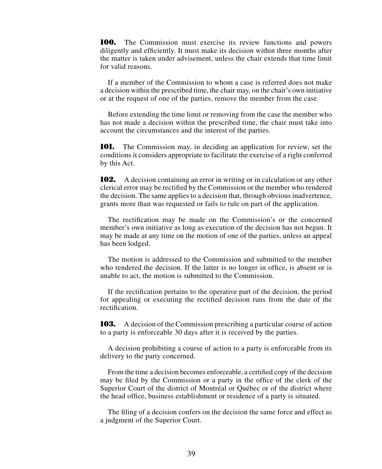**100.** The Commission must exercise its review functions and powers diligently and efficiently. It must make its decision within three months after the matter is taken under advisement, unless the chair extends that time limit for valid reasons.

If a member of the Commission to whom a case is referred does not make a decision within the prescribed time, the chair may, on the chair's own initiative or at the request of one of the parties, remove the member from the case.

Before extending the time limit or removing from the case the member who has not made a decision within the prescribed time, the chair must take into account the circumstances and the interest of the parties.

**101.** The Commission may, in deciding an application for review, set the conditions it considers appropriate to facilitate the exercise of a right conferred by this Act.

**102.** A decision containing an error in writing or in calculation or any other clerical error may be rectified by the Commission or the member who rendered the decision. The same applies to a decision that, through obvious inadvertence, grants more than was requested or fails to rule on part of the application.

The rectification may be made on the Commission's or the concerned member's own initiative as long as execution of the decision has not begun. It may be made at any time on the motion of one of the parties, unless an appeal has been lodged.

The motion is addressed to the Commission and submitted to the member who rendered the decision. If the latter is no longer in office, is absent or is unable to act, the motion is submitted to the Commission.

If the rectification pertains to the operative part of the decision, the period for appealing or executing the rectified decision runs from the date of the rectification.

**103.** A decision of the Commission prescribing a particular course of action to a party is enforceable 30 days after it is received by the parties.

A decision prohibiting a course of action to a party is enforceable from its delivery to the party concerned.

From the time a decision becomes enforceable, a certified copy of the decision may be filed by the Commission or a party in the office of the clerk of the Superior Court of the district of Montréal or Québec or of the district where the head office, business establishment or residence of a party is situated.

The filing of a decision confers on the decision the same force and effect as a judgment of the Superior Court.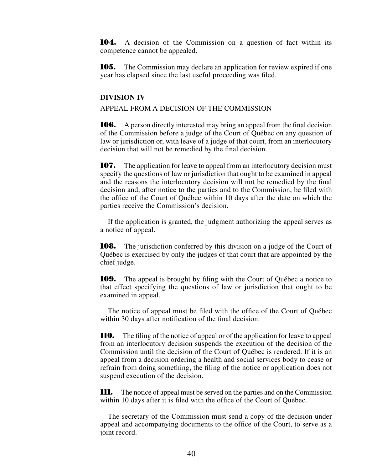**104.** A decision of the Commission on a question of fact within its competence cannot be appealed.

**105.** The Commission may declare an application for review expired if one year has elapsed since the last useful proceeding was filed.

#### **DIVISION IV**

APPEAL FROM A DECISION OF THE COMMISSION

**106.** A person directly interested may bring an appeal from the final decision of the Commission before a judge of the Court of Québec on any question of law or jurisdiction or, with leave of a judge of that court, from an interlocutory decision that will not be remedied by the final decision.

**107.** The application for leave to appeal from an interlocutory decision must specify the questions of law or jurisdiction that ought to be examined in appeal and the reasons the interlocutory decision will not be remedied by the final decision and, after notice to the parties and to the Commission, be filed with the office of the Court of Québec within 10 days after the date on which the parties receive the Commission's decision.

If the application is granted, the judgment authorizing the appeal serves as a notice of appeal.

**108.** The jurisdiction conferred by this division on a judge of the Court of Québec is exercised by only the judges of that court that are appointed by the chief judge.

**109.** The appeal is brought by filing with the Court of Québec a notice to that effect specifying the questions of law or jurisdiction that ought to be examined in appeal.

The notice of appeal must be filed with the office of the Court of Québec within 30 days after notification of the final decision.

**110.** The filing of the notice of appeal or of the application for leave to appeal from an interlocutory decision suspends the execution of the decision of the Commission until the decision of the Court of Québec is rendered. If it is an appeal from a decision ordering a health and social services body to cease or refrain from doing something, the filing of the notice or application does not suspend execution of the decision.

**111.** The notice of appeal must be served on the parties and on the Commission within 10 days after it is filed with the office of the Court of Québec.

The secretary of the Commission must send a copy of the decision under appeal and accompanying documents to the office of the Court, to serve as a joint record.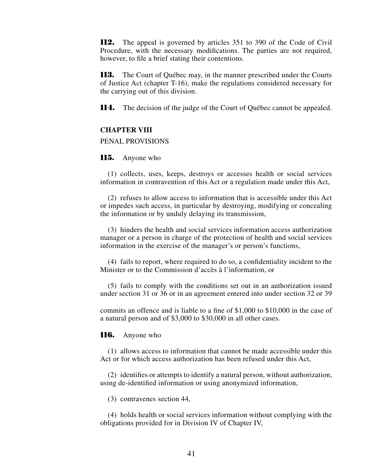**112.** The appeal is governed by articles 351 to 390 of the Code of Civil Procedure, with the necessary modifications. The parties are not required, however, to file a brief stating their contentions.

**113.** The Court of Québec may, in the manner prescribed under the Courts of Justice Act (chapter T-16), make the regulations considered necessary for the carrying out of this division.

**114.** The decision of the judge of the Court of Québec cannot be appealed.

#### **CHAPTER VIII**

### PENAL PROVISIONS

#### **115.** Anyone who

(1) collects, uses, keeps, destroys or accesses health or social services information in contravention of this Act or a regulation made under this Act,

(2) refuses to allow access to information that is accessible under this Act or impedes such access, in particular by destroying, modifying or concealing the information or by unduly delaying its transmission,

(3) hinders the health and social services information access authorization manager or a person in charge of the protection of health and social services information in the exercise of the manager's or person's functions,

(4) fails to report, where required to do so, a confidentiality incident to the Minister or to the Commission d'accès à l'information, or

(5) fails to comply with the conditions set out in an authorization issued under section 31 or 36 or in an agreement entered into under section 32 or 39

commits an offence and is liable to a fine of \$1,000 to \$10,000 in the case of a natural person and of \$3,000 to \$30,000 in all other cases.

#### **116.** Anyone who

(1) allows access to information that cannot be made accessible under this Act or for which access authorization has been refused under this Act,

(2) identifies or attempts to identify a natural person, without authorization, using de-identified information or using anonymized information,

(3) contravenes section 44,

(4) holds health or social services information without complying with the obligations provided for in Division IV of Chapter IV,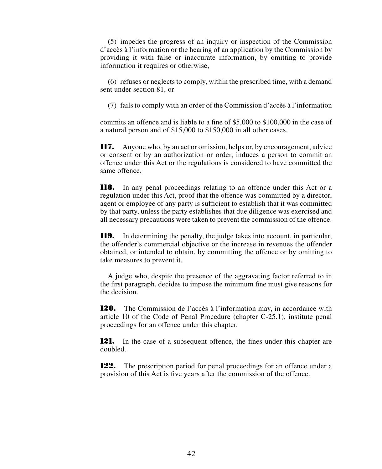(5) impedes the progress of an inquiry or inspection of the Commission d'accès à l'information or the hearing of an application by the Commission by providing it with false or inaccurate information, by omitting to provide information it requires or otherwise,

(6) refuses or neglects to comply, within the prescribed time, with a demand sent under section 81, or

(7) fails to comply with an order of the Commission d'accès à l'information

commits an offence and is liable to a fine of \$5,000 to \$100,000 in the case of a natural person and of \$15,000 to \$150,000 in all other cases.

**117.** Anyone who, by an act or omission, helps or, by encouragement, advice or consent or by an authorization or order, induces a person to commit an offence under this Act or the regulations is considered to have committed the same offence.

**118.** In any penal proceedings relating to an offence under this Act or a regulation under this Act, proof that the offence was committed by a director, agent or employee of any party is sufficient to establish that it was committed by that party, unless the party establishes that due diligence was exercised and all necessary precautions were taken to prevent the commission of the offence.

**119.** In determining the penalty, the judge takes into account, in particular, the offender's commercial objective or the increase in revenues the offender obtained, or intended to obtain, by committing the offence or by omitting to take measures to prevent it.

A judge who, despite the presence of the aggravating factor referred to in the first paragraph, decides to impose the minimum fine must give reasons for the decision.

**120.** The Commission de l'accès à l'information may, in accordance with article 10 of the Code of Penal Procedure (chapter C-25.1), institute penal proceedings for an offence under this chapter.

**121.** In the case of a subsequent offence, the fines under this chapter are doubled.

**122.** The prescription period for penal proceedings for an offence under a provision of this Act is five years after the commission of the offence.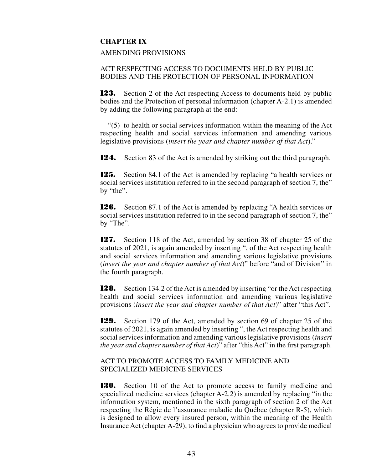## **CHAPTER IX**

#### AMENDING PROVISIONS

## ACT RESPECTING ACCESS TO DOCUMENTS HELD BY PUBLIC BODIES AND THE PROTECTION OF PERSONAL INFORMATION

**123.** Section 2 of the Act respecting Access to documents held by public bodies and the Protection of personal information (chapter A-2.1) is amended by adding the following paragraph at the end:

"(5) to health or social services information within the meaning of the Act respecting health and social services information and amending various legislative provisions (*insert the year and chapter number of that Act*)."

**124.** Section 83 of the Act is amended by striking out the third paragraph.

**125.** Section 84.1 of the Act is amended by replacing "a health services or social services institution referred to in the second paragraph of section 7, the" by "the".

**126.** Section 87.1 of the Act is amended by replacing "A health services or social services institution referred to in the second paragraph of section 7, the" by "The".

**127.** Section 118 of the Act, amended by section 38 of chapter 25 of the statutes of 2021, is again amended by inserting ", of the Act respecting health and social services information and amending various legislative provisions (*insert the year and chapter number of that Act*)" before "and of Division" in the fourth paragraph.

**128.** Section 134.2 of the Act is amended by inserting "or the Act respecting health and social services information and amending various legislative provisions (*insert the year and chapter number of that Act*)" after "this Act".

**129.** Section 179 of the Act, amended by section 69 of chapter 25 of the statutes of 2021, is again amended by inserting ", the Act respecting health and social services information and amending various legislative provisions (*insert the year and chapter number of that Act*)" after "this Act" in the first paragraph.

## ACT TO PROMOTE ACCESS TO FAMILY MEDICINE AND SPECIALIZED MEDICINE SERVICES

**130.** Section 10 of the Act to promote access to family medicine and specialized medicine services (chapter A-2.2) is amended by replacing "in the information system, mentioned in the sixth paragraph of section 2 of the Act respecting the Régie de l'assurance maladie du Québec (chapter R-5), which is designed to allow every insured person, within the meaning of the Health Insurance Act (chapter A-29), to find a physician who agrees to provide medical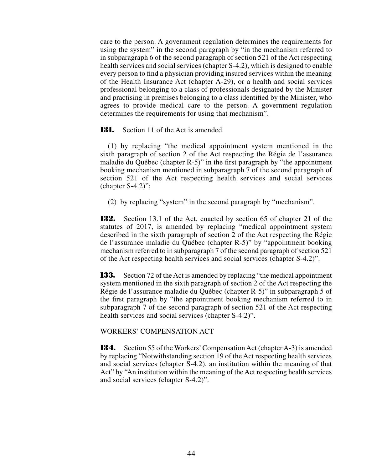care to the person. A government regulation determines the requirements for using the system" in the second paragraph by "in the mechanism referred to in subparagraph 6 of the second paragraph of section 521 of the Act respecting health services and social services (chapter S-4.2), which is designed to enable every person to find a physician providing insured services within the meaning of the Health Insurance Act (chapter A-29), or a health and social services professional belonging to a class of professionals designated by the Minister and practising in premises belonging to a class identified by the Minister, who agrees to provide medical care to the person. A government regulation determines the requirements for using that mechanism".

**131.** Section 11 of the Act is amended

(1) by replacing "the medical appointment system mentioned in the sixth paragraph of section 2 of the Act respecting the Régie de l'assurance maladie du Québec (chapter R-5)" in the first paragraph by "the appointment booking mechanism mentioned in subparagraph 7 of the second paragraph of section 521 of the Act respecting health services and social services (chapter  $S-4.2$ )";

(2) by replacing "system" in the second paragraph by "mechanism".

**132.** Section 13.1 of the Act, enacted by section 65 of chapter 21 of the statutes of 2017, is amended by replacing "medical appointment system described in the sixth paragraph of section 2 of the Act respecting the Régie de l'assurance maladie du Québec (chapter R-5)" by "appointment booking mechanism referred to in subparagraph 7 of the second paragraph of section 521 of the Act respecting health services and social services (chapter S-4.2)".

**133.** Section 72 of the Act is amended by replacing "the medical appointment system mentioned in the sixth paragraph of section 2 of the Act respecting the Régie de l'assurance maladie du Québec (chapter R-5)" in subparagraph 5 of the first paragraph by "the appointment booking mechanism referred to in subparagraph 7 of the second paragraph of section 521 of the Act respecting health services and social services (chapter S-4.2)".

#### WORKERS' COMPENSATION ACT

**134.** Section 55 of the Workers' Compensation Act (chapter A-3) is amended by replacing "Notwithstanding section 19 of the Act respecting health services and social services (chapter S-4.2), an institution within the meaning of that Act" by "An institution within the meaning of the Act respecting health services and social services (chapter S-4.2)".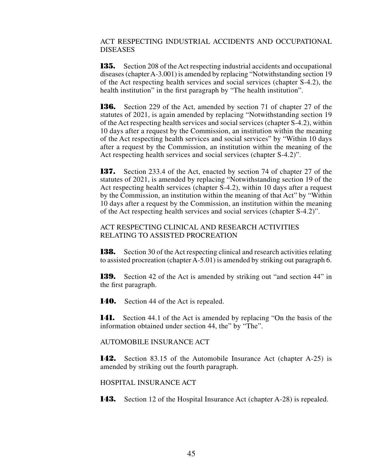## ACT RESPECTING INDUSTRIAL ACCIDENTS AND OCCUPATIONAL DISEASES

**135.** Section 208 of the Act respecting industrial accidents and occupational diseases (chapter A-3.001) is amended by replacing "Notwithstanding section 19 of the Act respecting health services and social services (chapter S-4.2), the health institution" in the first paragraph by "The health institution".

**136.** Section 229 of the Act, amended by section 71 of chapter 27 of the statutes of 2021, is again amended by replacing "Notwithstanding section 19 of the Act respecting health services and social services (chapter S-4.2), within 10 days after a request by the Commission, an institution within the meaning of the Act respecting health services and social services" by "Within 10 days after a request by the Commission, an institution within the meaning of the Act respecting health services and social services (chapter S-4.2)".

**137.** Section 233.4 of the Act, enacted by section 74 of chapter 27 of the statutes of 2021, is amended by replacing "Notwithstanding section 19 of the Act respecting health services (chapter S-4.2), within 10 days after a request by the Commission, an institution within the meaning of that Act" by "Within 10 days after a request by the Commission, an institution within the meaning of the Act respecting health services and social services (chapter S-4.2)".

## ACT RESPECTING CLINICAL AND RESEARCH ACTIVITIES RELATING TO ASSISTED PROCREATION

**138.** Section 30 of the Act respecting clinical and research activities relating to assisted procreation (chapter A-5.01) is amended by striking out paragraph 6.

**139.** Section 42 of the Act is amended by striking out "and section 44" in the first paragraph.

**140.** Section 44 of the Act is repealed.

**141.** Section 44.1 of the Act is amended by replacing "On the basis of the information obtained under section 44, the" by "The".

AUTOMOBILE INSURANCE ACT

**142.** Section 83.15 of the Automobile Insurance Act (chapter A-25) is amended by striking out the fourth paragraph.

HOSPITAL INSURANCE ACT

**143.** Section 12 of the Hospital Insurance Act (chapter A-28) is repealed.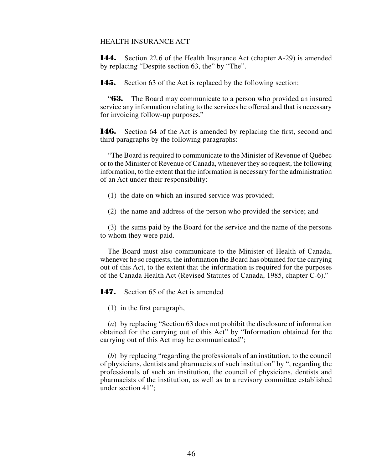## HEALTH INSURANCE ACT

**144.** Section 22.6 of the Health Insurance Act (chapter A-29) is amended by replacing "Despite section 63, the" by "The".

**145.** Section 63 of the Act is replaced by the following section:

"**63.** The Board may communicate to a person who provided an insured service any information relating to the services he offered and that is necessary for invoicing follow-up purposes."

**146.** Section 64 of the Act is amended by replacing the first, second and third paragraphs by the following paragraphs:

"The Board is required to communicate to the Minister of Revenue of Québec or to the Minister of Revenue of Canada, whenever they so request, the following information, to the extent that the information is necessary for the administration of an Act under their responsibility:

- (1) the date on which an insured service was provided;
- (2) the name and address of the person who provided the service; and

(3) the sums paid by the Board for the service and the name of the persons to whom they were paid.

The Board must also communicate to the Minister of Health of Canada, whenever he so requests, the information the Board has obtained for the carrying out of this Act, to the extent that the information is required for the purposes of the Canada Health Act (Revised Statutes of Canada, 1985, chapter C-6)."

**147.** Section 65 of the Act is amended

(1) in the first paragraph,

(*a*) by replacing "Section 63 does not prohibit the disclosure of information obtained for the carrying out of this Act" by "Information obtained for the carrying out of this Act may be communicated";

(*b*) by replacing "regarding the professionals of an institution, to the council of physicians, dentists and pharmacists of such institution" by ", regarding the professionals of such an institution, the council of physicians, dentists and pharmacists of the institution, as well as to a revisory committee established under section 41";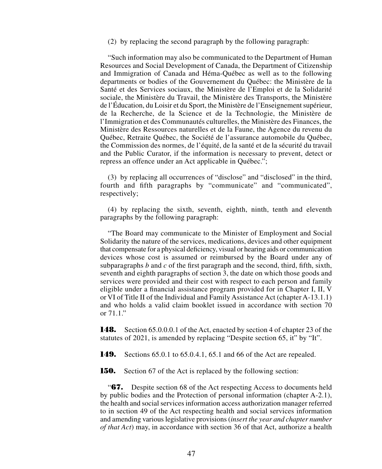(2) by replacing the second paragraph by the following paragraph:

"Such information may also be communicated to the Department of Human Resources and Social Development of Canada, the Department of Citizenship and Immigration of Canada and Héma-Québec as well as to the following departments or bodies of the Gouvernement du Québec: the Ministère de la Santé et des Services sociaux, the Ministère de l'Emploi et de la Solidarité sociale, the Ministère du Travail, the Ministère des Transports, the Ministère de l'Éducation, du Loisir et du Sport, the Ministère de l'Enseignement supérieur, de la Recherche, de la Science et de la Technologie, the Ministère de l'Immigration et des Communautés culturelles, the Ministère des Finances, the Ministère des Ressources naturelles et de la Faune, the Agence du revenu du Québec, Retraite Québec, the Société de l'assurance automobile du Québec, the Commission des normes, de l'équité, de la santé et de la sécurité du travail and the Public Curator, if the information is necessary to prevent, detect or repress an offence under an Act applicable in Québec.";

(3) by replacing all occurrences of "disclose" and "disclosed" in the third, fourth and fifth paragraphs by "communicate" and "communicated", respectively;

(4) by replacing the sixth, seventh, eighth, ninth, tenth and eleventh paragraphs by the following paragraph:

"The Board may communicate to the Minister of Employment and Social Solidarity the nature of the services, medications, devices and other equipment that compensate for a physical deficiency, visual or hearing aids or communication devices whose cost is assumed or reimbursed by the Board under any of subparagraphs *b* and *c* of the first paragraph and the second, third, fifth, sixth, seventh and eighth paragraphs of section 3, the date on which those goods and services were provided and their cost with respect to each person and family eligible under a financial assistance program provided for in Chapter I, II, V or VI of Title II of the Individual and Family Assistance Act (chapter A-13.1.1) and who holds a valid claim booklet issued in accordance with section 70 or 71.1."

**148.** Section 65.0.0.0.1 of the Act, enacted by section 4 of chapter 23 of the statutes of 2021, is amended by replacing "Despite section 65, it" by "It".

**149.** Sections 65.0.1 to 65.0.4.1, 65.1 and 66 of the Act are repealed.

**150.** Section 67 of the Act is replaced by the following section:

"**67.** Despite section 68 of the Act respecting Access to documents held by public bodies and the Protection of personal information (chapter A-2.1), the health and social services information access authorization manager referred to in section 49 of the Act respecting health and social services information and amending various legislative provisions (*insert the year and chapter number of that Act*) may, in accordance with section 36 of that Act, authorize a health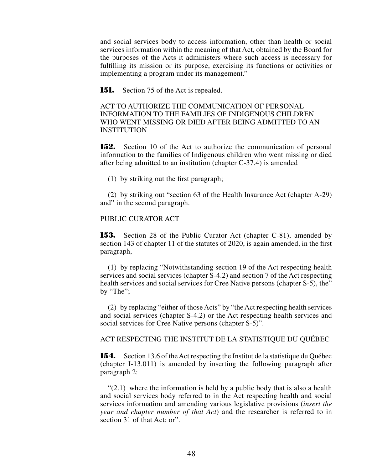and social services body to access information, other than health or social services information within the meaning of that Act, obtained by the Board for the purposes of the Acts it administers where such access is necessary for fulfilling its mission or its purpose, exercising its functions or activities or implementing a program under its management."

**151.** Section 75 of the Act is repealed.

ACT TO AUTHORIZE THE COMMUNICATION OF PERSONAL INFORMATION TO THE FAMILIES OF INDIGENOUS CHILDREN WHO WENT MISSING OR DIED AFTER BEING ADMITTED TO AN INSTITUTION

**152.** Section 10 of the Act to authorize the communication of personal information to the families of Indigenous children who went missing or died after being admitted to an institution (chapter C-37.4) is amended

(1) by striking out the first paragraph;

(2) by striking out "section 63 of the Health Insurance Act (chapter A-29) and" in the second paragraph.

## PUBLIC CURATOR ACT

**153.** Section 28 of the Public Curator Act (chapter C-81), amended by section 143 of chapter 11 of the statutes of 2020, is again amended, in the first paragraph,

(1) by replacing "Notwithstanding section 19 of the Act respecting health services and social services (chapter S-4.2) and section 7 of the Act respecting health services and social services for Cree Native persons (chapter S-5), the" by "The";

(2) by replacing "either of those Acts" by "the Act respecting health services and social services (chapter S-4.2) or the Act respecting health services and social services for Cree Native persons (chapter S-5)".

ACT RESPECTING THE INSTITUT DE LA STATISTIQUE DU QUÉBEC

**154.** Section 13.6 of the Act respecting the Institut de la statistique du Québec (chapter I-13.011) is amended by inserting the following paragraph after paragraph 2:

 $(2.1)$  where the information is held by a public body that is also a health and social services body referred to in the Act respecting health and social services information and amending various legislative provisions (*insert the year and chapter number of that Act*) and the researcher is referred to in section 31 of that Act; or".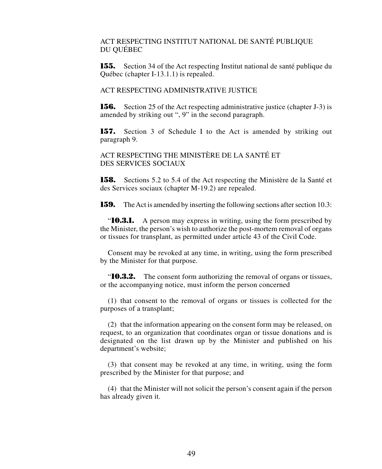## ACT RESPECTING INSTITUT NATIONAL DE SANTÉ PUBLIQUE DU QUÉBEC

**155.** Section 34 of the Act respecting Institut national de santé publique du Québec (chapter I-13.1.1) is repealed.

### ACT RESPECTING ADMINISTRATIVE JUSTICE

**156.** Section 25 of the Act respecting administrative justice (chapter J-3) is amended by striking out ", 9" in the second paragraph.

**157.** Section 3 of Schedule I to the Act is amended by striking out paragraph 9.

ACT RESPECTING THE MINISTÈRE DE LA SANTÉ ET DES SERVICES SOCIAUX

**158.** Sections 5.2 to 5.4 of the Act respecting the Ministère de la Santé et des Services sociaux (chapter M-19.2) are repealed.

**159.** The Act is amended by inserting the following sections after section 10.3:

"**10.3.1.** A person may express in writing, using the form prescribed by the Minister, the person's wish to authorize the post-mortem removal of organs or tissues for transplant, as permitted under article 43 of the Civil Code.

Consent may be revoked at any time, in writing, using the form prescribed by the Minister for that purpose.

"**10.3.2.** The consent form authorizing the removal of organs or tissues, or the accompanying notice, must inform the person concerned

(1) that consent to the removal of organs or tissues is collected for the purposes of a transplant;

(2) that the information appearing on the consent form may be released, on request, to an organization that coordinates organ or tissue donations and is designated on the list drawn up by the Minister and published on his department's website;

(3) that consent may be revoked at any time, in writing, using the form prescribed by the Minister for that purpose; and

(4) that the Minister will not solicit the person's consent again if the person has already given it.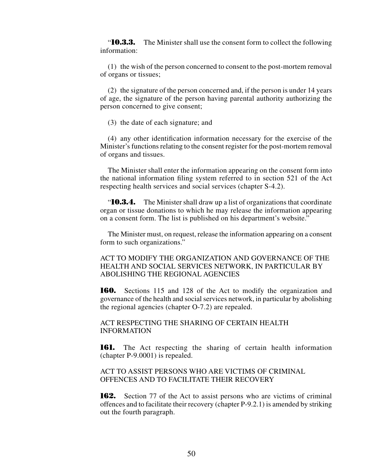"**10.3.3.** The Minister shall use the consent form to collect the following information:

(1) the wish of the person concerned to consent to the post-mortem removal of organs or tissues;

(2) the signature of the person concerned and, if the person is under 14 years of age, the signature of the person having parental authority authorizing the person concerned to give consent;

(3) the date of each signature; and

(4) any other identification information necessary for the exercise of the Minister's functions relating to the consent register for the post-mortem removal of organs and tissues.

The Minister shall enter the information appearing on the consent form into the national information filing system referred to in section 521 of the Act respecting health services and social services (chapter S-4.2).

"**10.3.4.** The Minister shall draw up a list of organizations that coordinate organ or tissue donations to which he may release the information appearing on a consent form. The list is published on his department's website."

The Minister must, on request, release the information appearing on a consent form to such organizations."

ACT TO MODIFY THE ORGANIZATION AND GOVERNANCE OF THE HEALTH AND SOCIAL SERVICES NETWORK, IN PARTICULAR BY ABOLISHING THE REGIONAL AGENCIES

**160.** Sections 115 and 128 of the Act to modify the organization and governance of the health and social services network, in particular by abolishing the regional agencies (chapter O-7.2) are repealed.

ACT RESPECTING THE SHARING OF CERTAIN HEALTH INFORMATION

**161.** The Act respecting the sharing of certain health information (chapter P-9.0001) is repealed.

ACT TO ASSIST PERSONS WHO ARE VICTIMS OF CRIMINAL OFFENCES AND TO FACILITATE THEIR RECOVERY

**162.** Section 77 of the Act to assist persons who are victims of criminal offences and to facilitate their recovery (chapter P-9.2.1) is amended by striking out the fourth paragraph.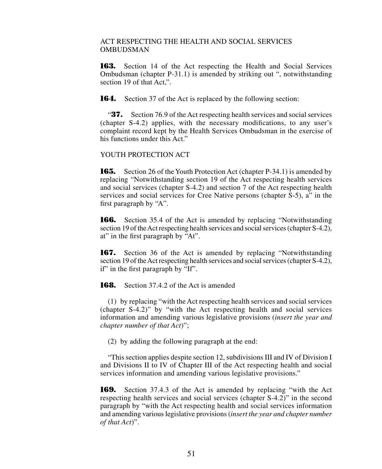## ACT RESPECTING THE HEALTH AND SOCIAL SERVICES OMBUDSMAN

**163.** Section 14 of the Act respecting the Health and Social Services Ombudsman (chapter P-31.1) is amended by striking out ", notwithstanding section 19 of that Act.".

**164.** Section 37 of the Act is replaced by the following section:

"**37.** Section 76.9 of the Act respecting health services and social services (chapter S-4.2) applies, with the necessary modifications, to any user's complaint record kept by the Health Services Ombudsman in the exercise of his functions under this Act."

## YOUTH PROTECTION ACT

**165.** Section 26 of the Youth Protection Act (chapter P-34.1) is amended by replacing "Notwithstanding section 19 of the Act respecting health services and social services (chapter S-4.2) and section 7 of the Act respecting health services and social services for Cree Native persons (chapter S-5), a" in the first paragraph by "A".

**166.** Section 35.4 of the Act is amended by replacing "Notwithstanding section 19 of the Act respecting health services and social services (chapter S-4.2), at" in the first paragraph by "At".

**167.** Section 36 of the Act is amended by replacing "Notwithstanding section 19 of the Act respecting health services and social services (chapter S-4.2), if" in the first paragraph by "If".

**168.** Section 37.4.2 of the Act is amended

(1) by replacing "with the Act respecting health services and social services (chapter S-4.2)" by "with the Act respecting health and social services information and amending various legislative provisions (*insert the year and chapter number of that Act*)";

(2) by adding the following paragraph at the end:

"This section applies despite section 12, subdivisions III and IV of Division I and Divisions II to IV of Chapter III of the Act respecting health and social services information and amending various legislative provisions."

**169.** Section 37.4.3 of the Act is amended by replacing "with the Act respecting health services and social services (chapter S-4.2)" in the second paragraph by "with the Act respecting health and social services information and amending various legislative provisions (*insert the year and chapter number of that Act*)".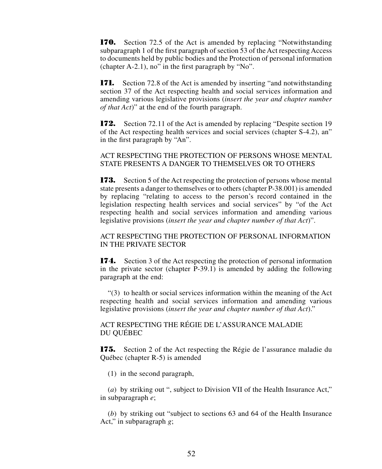**170.** Section 72.5 of the Act is amended by replacing "Notwithstanding subparagraph 1 of the first paragraph of section 53 of the Act respecting Access to documents held by public bodies and the Protection of personal information (chapter A-2.1), no" in the first paragraph by "No".

**171.** Section 72.8 of the Act is amended by inserting "and notwithstanding section 37 of the Act respecting health and social services information and amending various legislative provisions (*insert the year and chapter number of that Act*)" at the end of the fourth paragraph.

**172.** Section 72.11 of the Act is amended by replacing "Despite section 19 of the Act respecting health services and social services (chapter S-4.2), an" in the first paragraph by "An".

## ACT RESPECTING THE PROTECTION OF PERSONS WHOSE MENTAL STATE PRESENTS A DANGER TO THEMSELVES OR TO OTHERS

**173.** Section 5 of the Act respecting the protection of persons whose mental state presents a danger to themselves or to others (chapter P-38.001) is amended by replacing "relating to access to the person's record contained in the legislation respecting health services and social services" by "of the Act respecting health and social services information and amending various legislative provisions (*insert the year and chapter number of that Act*)".

ACT RESPECTING THE PROTECTION OF PERSONAL INFORMATION IN THE PRIVATE SECTOR

**174.** Section 3 of the Act respecting the protection of personal information in the private sector (chapter P-39.1) is amended by adding the following paragraph at the end:

"(3) to health or social services information within the meaning of the Act respecting health and social services information and amending various legislative provisions (*insert the year and chapter number of that Act*)."

ACT RESPECTING THE RÉGIE DE L'ASSURANCE MALADIE DU QUÉBEC

**175.** Section 2 of the Act respecting the Régie de l'assurance maladie du Québec (chapter R-5) is amended

(1) in the second paragraph,

(*a*) by striking out ", subject to Division VII of the Health Insurance Act," in subparagraph *e*;

(*b*) by striking out "subject to sections 63 and 64 of the Health Insurance Act," in subparagraph *g*;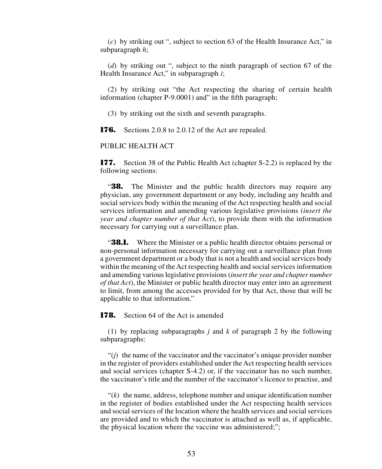(*c*) by striking out ", subject to section 63 of the Health Insurance Act," in subparagraph *h*;

(*d*) by striking out ", subject to the ninth paragraph of section 67 of the Health Insurance Act," in subparagraph *i*;

(2) by striking out "the Act respecting the sharing of certain health information (chapter P-9.0001) and" in the fifth paragraph;

(3) by striking out the sixth and seventh paragraphs.

**176.** Sections 2.0.8 to 2.0.12 of the Act are repealed.

## PUBLIC HEALTH ACT

**177.** Section 38 of the Public Health Act (chapter S-2.2) is replaced by the following sections:

"**38.** The Minister and the public health directors may require any physician, any government department or any body, including any health and social services body within the meaning of the Act respecting health and social services information and amending various legislative provisions (*insert the year and chapter number of that Act*), to provide them with the information necessary for carrying out a surveillance plan.

**38.1.** Where the Minister or a public health director obtains personal or non-personal information necessary for carrying out a surveillance plan from a government department or a body that is not a health and social services body within the meaning of the Act respecting health and social services information and amending various legislative provisions (*insert the year and chapter number of that Act*), the Minister or public health director may enter into an agreement to limit, from among the accesses provided for by that Act, those that will be applicable to that information."

**178.** Section 64 of the Act is amended

(1) by replacing subparagraphs *j* and *k* of paragraph 2 by the following subparagraphs:

"(*j*) the name of the vaccinator and the vaccinator's unique provider number in the register of providers established under the Act respecting health services and social services (chapter S-4.2) or, if the vaccinator has no such number, the vaccinator's title and the number of the vaccinator's licence to practise, and

 $f(k)$  the name, address, telephone number and unique identification number in the register of bodies established under the Act respecting health services and social services of the location where the health services and social services are provided and to which the vaccinator is attached as well as, if applicable, the physical location where the vaccine was administered;";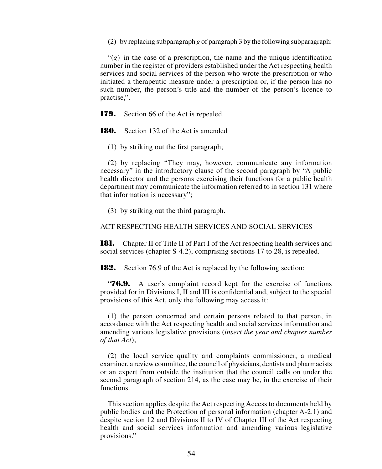(2) by replacing subparagraph *g* of paragraph 3 by the following subparagraph:

 $f'(g)$  in the case of a prescription, the name and the unique identification number in the register of providers established under the Act respecting health services and social services of the person who wrote the prescription or who initiated a therapeutic measure under a prescription or, if the person has no such number, the person's title and the number of the person's licence to practise,".

**179.** Section 66 of the Act is repealed.

**180.** Section 132 of the Act is amended

(1) by striking out the first paragraph;

(2) by replacing "They may, however, communicate any information necessary" in the introductory clause of the second paragraph by "A public health director and the persons exercising their functions for a public health department may communicate the information referred to in section 131 where that information is necessary";

(3) by striking out the third paragraph.

## ACT RESPECTING HEALTH SERVICES AND SOCIAL SERVICES

**181.** Chapter II of Title II of Part I of the Act respecting health services and social services (chapter S-4.2), comprising sections 17 to 28, is repealed.

**182.** Section 76.9 of the Act is replaced by the following section:

**76.9.** A user's complaint record kept for the exercise of functions provided for in Divisions I, II and III is confidential and, subject to the special provisions of this Act, only the following may access it:

(1) the person concerned and certain persons related to that person, in accordance with the Act respecting health and social services information and amending various legislative provisions (*insert the year and chapter number of that Act*);

(2) the local service quality and complaints commissioner, a medical examiner, a review committee, the council of physicians, dentists and pharmacists or an expert from outside the institution that the council calls on under the second paragraph of section 214, as the case may be, in the exercise of their functions.

This section applies despite the Act respecting Access to documents held by public bodies and the Protection of personal information (chapter A-2.1) and despite section 12 and Divisions II to IV of Chapter III of the Act respecting health and social services information and amending various legislative provisions."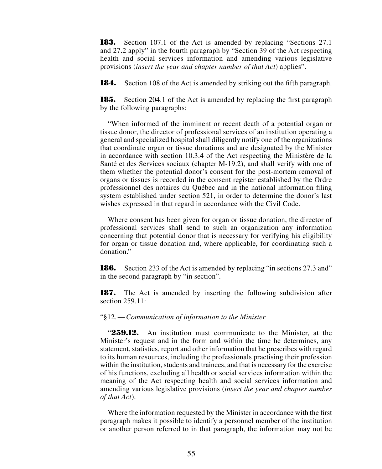**183.** Section 107.1 of the Act is amended by replacing "Sections 27.1 and 27.2 apply" in the fourth paragraph by "Section 39 of the Act respecting health and social services information and amending various legislative provisions (*insert the year and chapter number of that Act*) applies".

**184.** Section 108 of the Act is amended by striking out the fifth paragraph.

**185.** Section 204.1 of the Act is amended by replacing the first paragraph by the following paragraphs:

"When informed of the imminent or recent death of a potential organ or tissue donor, the director of professional services of an institution operating a general and specialized hospital shall diligently notify one of the organizations that coordinate organ or tissue donations and are designated by the Minister in accordance with section 10.3.4 of the Act respecting the Ministère de la Santé et des Services sociaux (chapter M-19.2), and shall verify with one of them whether the potential donor's consent for the post-mortem removal of organs or tissues is recorded in the consent register established by the Ordre professionnel des notaires du Québec and in the national information filing system established under section 521, in order to determine the donor's last wishes expressed in that regard in accordance with the Civil Code.

Where consent has been given for organ or tissue donation, the director of professional services shall send to such an organization any information concerning that potential donor that is necessary for verifying his eligibility for organ or tissue donation and, where applicable, for coordinating such a donation"

**186.** Section 233 of the Act is amended by replacing "in sections 27.3 and" in the second paragraph by "in section".

**187.** The Act is amended by inserting the following subdivision after section 259.11:

#### "§12.—*Communication of information to the Minister*

"**259.12.** An institution must communicate to the Minister, at the Minister's request and in the form and within the time he determines, any statement, statistics, report and other information that he prescribes with regard to its human resources, including the professionals practising their profession within the institution, students and trainees, and that is necessary for the exercise of his functions, excluding all health or social services information within the meaning of the Act respecting health and social services information and amending various legislative provisions (*insert the year and chapter number of that Act*).

Where the information requested by the Minister in accordance with the first paragraph makes it possible to identify a personnel member of the institution or another person referred to in that paragraph, the information may not be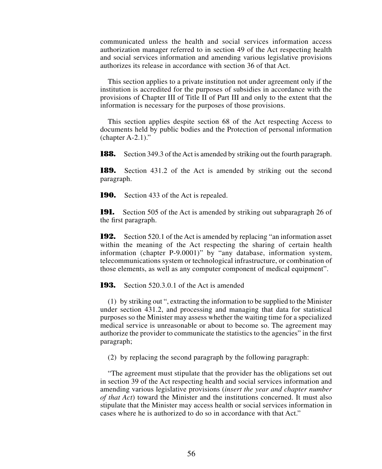communicated unless the health and social services information access authorization manager referred to in section 49 of the Act respecting health and social services information and amending various legislative provisions authorizes its release in accordance with section 36 of that Act.

This section applies to a private institution not under agreement only if the institution is accredited for the purposes of subsidies in accordance with the provisions of Chapter III of Title II of Part III and only to the extent that the information is necessary for the purposes of those provisions.

This section applies despite section 68 of the Act respecting Access to documents held by public bodies and the Protection of personal information (chapter A-2.1)."

**188.** Section 349.3 of the Act is amended by striking out the fourth paragraph.

**189.** Section 431.2 of the Act is amended by striking out the second paragraph.

**190.** Section 433 of the Act is repealed.

**191.** Section 505 of the Act is amended by striking out subparagraph 26 of the first paragraph.

**192.** Section 520.1 of the Act is amended by replacing "an information asset within the meaning of the Act respecting the sharing of certain health information (chapter P-9.0001)" by "any database, information system, telecommunications system or technological infrastructure, or combination of those elements, as well as any computer component of medical equipment".

**193.** Section 520.3.0.1 of the Act is amended

(1) by striking out ", extracting the information to be supplied to the Minister under section 431.2, and processing and managing that data for statistical purposes so the Minister may assess whether the waiting time for a specialized medical service is unreasonable or about to become so. The agreement may authorize the provider to communicate the statistics to the agencies" in the first paragraph;

(2) by replacing the second paragraph by the following paragraph:

"The agreement must stipulate that the provider has the obligations set out in section 39 of the Act respecting health and social services information and amending various legislative provisions (*insert the year and chapter number of that Act*) toward the Minister and the institutions concerned. It must also stipulate that the Minister may access health or social services information in cases where he is authorized to do so in accordance with that Act."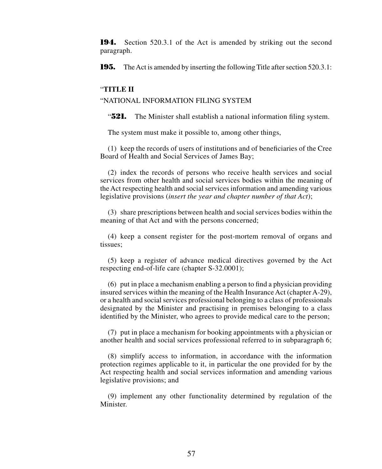**194.** Section 520.3.1 of the Act is amended by striking out the second paragraph.

**195.** The Act is amended by inserting the following Title after section 520.3.1:

#### "**TITLE II**

### "NATIONAL INFORMATION FILING SYSTEM

"**521.** The Minister shall establish a national information filing system.

The system must make it possible to, among other things,

(1) keep the records of users of institutions and of beneficiaries of the Cree Board of Health and Social Services of James Bay;

(2) index the records of persons who receive health services and social services from other health and social services bodies within the meaning of the Act respecting health and social services information and amending various legislative provisions (*insert the year and chapter number of that Act*);

(3) share prescriptions between health and social services bodies within the meaning of that Act and with the persons concerned;

(4) keep a consent register for the post-mortem removal of organs and tissues;

(5) keep a register of advance medical directives governed by the Act respecting end-of-life care (chapter S-32.0001);

(6) put in place a mechanism enabling a person to find a physician providing insured services within the meaning of the Health Insurance Act (chapter A-29), or a health and social services professional belonging to a class of professionals designated by the Minister and practising in premises belonging to a class identified by the Minister, who agrees to provide medical care to the person;

(7) put in place a mechanism for booking appointments with a physician or another health and social services professional referred to in subparagraph 6;

(8) simplify access to information, in accordance with the information protection regimes applicable to it, in particular the one provided for by the Act respecting health and social services information and amending various legislative provisions; and

(9) implement any other functionality determined by regulation of the Minister.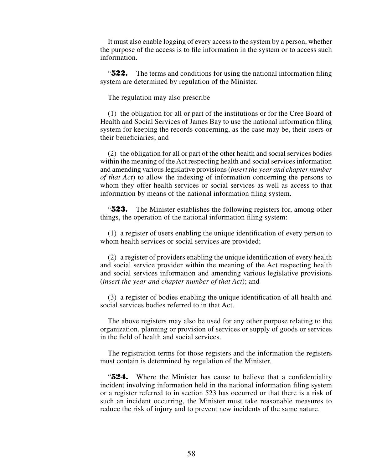It must also enable logging of every access to the system by a person, whether the purpose of the access is to file information in the system or to access such information.

"**522.** The terms and conditions for using the national information filing system are determined by regulation of the Minister.

The regulation may also prescribe

(1) the obligation for all or part of the institutions or for the Cree Board of Health and Social Services of James Bay to use the national information filing system for keeping the records concerning, as the case may be, their users or their beneficiaries; and

(2) the obligation for all or part of the other health and social services bodies within the meaning of the Act respecting health and social services information and amending various legislative provisions (*insert the year and chapter number of that Act*) to allow the indexing of information concerning the persons to whom they offer health services or social services as well as access to that information by means of the national information filing system.

"**523.** The Minister establishes the following registers for, among other things, the operation of the national information filing system:

(1) a register of users enabling the unique identification of every person to whom health services or social services are provided;

(2) a register of providers enabling the unique identification of every health and social service provider within the meaning of the Act respecting health and social services information and amending various legislative provisions (*insert the year and chapter number of that Act*); and

(3) a register of bodies enabling the unique identification of all health and social services bodies referred to in that Act.

The above registers may also be used for any other purpose relating to the organization, planning or provision of services or supply of goods or services in the field of health and social services.

The registration terms for those registers and the information the registers must contain is determined by regulation of the Minister.

"**524.** Where the Minister has cause to believe that a confidentiality incident involving information held in the national information filing system or a register referred to in section 523 has occurred or that there is a risk of such an incident occurring, the Minister must take reasonable measures to reduce the risk of injury and to prevent new incidents of the same nature.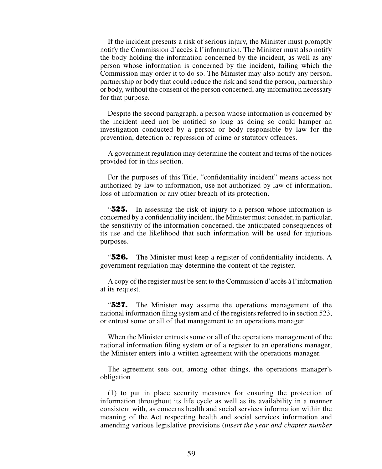If the incident presents a risk of serious injury, the Minister must promptly notify the Commission d'accès à l'information. The Minister must also notify the body holding the information concerned by the incident, as well as any person whose information is concerned by the incident, failing which the Commission may order it to do so. The Minister may also notify any person, partnership or body that could reduce the risk and send the person, partnership or body, without the consent of the person concerned, any information necessary for that purpose.

Despite the second paragraph, a person whose information is concerned by the incident need not be notified so long as doing so could hamper an investigation conducted by a person or body responsible by law for the prevention, detection or repression of crime or statutory offences.

A government regulation may determine the content and terms of the notices provided for in this section.

For the purposes of this Title, "confidentiality incident" means access not authorized by law to information, use not authorized by law of information, loss of information or any other breach of its protection.

"**525.** In assessing the risk of injury to a person whose information is concerned by a confidentiality incident, the Minister must consider, in particular, the sensitivity of the information concerned, the anticipated consequences of its use and the likelihood that such information will be used for injurious purposes.

"**526.** The Minister must keep a register of confidentiality incidents. A government regulation may determine the content of the register.

A copy of the register must be sent to the Commission d'accès à l'information at its request.

"**527.** The Minister may assume the operations management of the national information filing system and of the registers referred to in section 523, or entrust some or all of that management to an operations manager.

When the Minister entrusts some or all of the operations management of the national information filing system or of a register to an operations manager, the Minister enters into a written agreement with the operations manager.

The agreement sets out, among other things, the operations manager's obligation

(1) to put in place security measures for ensuring the protection of information throughout its life cycle as well as its availability in a manner consistent with, as concerns health and social services information within the meaning of the Act respecting health and social services information and amending various legislative provisions (*insert the year and chapter number*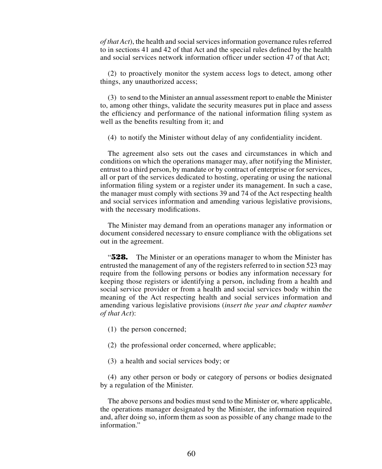*of that Act*), the health and social services information governance rules referred to in sections 41 and 42 of that Act and the special rules defined by the health and social services network information officer under section 47 of that Act;

(2) to proactively monitor the system access logs to detect, among other things, any unauthorized access;

(3) to send to the Minister an annual assessment report to enable the Minister to, among other things, validate the security measures put in place and assess the efficiency and performance of the national information filing system as well as the benefits resulting from it; and

(4) to notify the Minister without delay of any confidentiality incident.

The agreement also sets out the cases and circumstances in which and conditions on which the operations manager may, after notifying the Minister, entrust to a third person, by mandate or by contract of enterprise or for services, all or part of the services dedicated to hosting, operating or using the national information filing system or a register under its management. In such a case, the manager must comply with sections 39 and 74 of the Act respecting health and social services information and amending various legislative provisions, with the necessary modifications.

The Minister may demand from an operations manager any information or document considered necessary to ensure compliance with the obligations set out in the agreement.

"**528.** The Minister or an operations manager to whom the Minister has entrusted the management of any of the registers referred to in section 523 may require from the following persons or bodies any information necessary for keeping those registers or identifying a person, including from a health and social service provider or from a health and social services body within the meaning of the Act respecting health and social services information and amending various legislative provisions (*insert the year and chapter number of that Act*):

- (1) the person concerned;
- (2) the professional order concerned, where applicable;
- (3) a health and social services body; or

(4) any other person or body or category of persons or bodies designated by a regulation of the Minister.

The above persons and bodies must send to the Minister or, where applicable, the operations manager designated by the Minister, the information required and, after doing so, inform them as soon as possible of any change made to the information"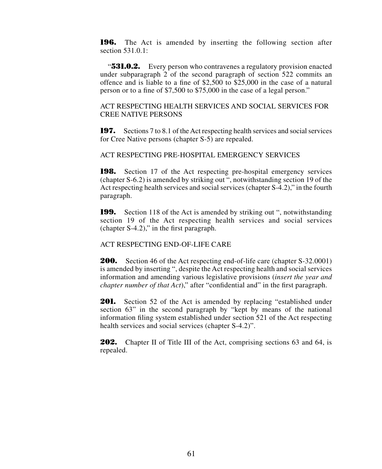**196.** The Act is amended by inserting the following section after section 531.0.1 $\cdot$ 

"**531.0.2.** Every person who contravenes a regulatory provision enacted under subparagraph 2 of the second paragraph of section 522 commits an offence and is liable to a fine of \$2,500 to \$25,000 in the case of a natural person or to a fine of \$7,500 to \$75,000 in the case of a legal person."

ACT RESPECTING HEALTH SERVICES AND SOCIAL SERVICES FOR CREE NATIVE PERSONS

**197.** Sections 7 to 8.1 of the Act respecting health services and social services for Cree Native persons (chapter S-5) are repealed.

ACT RESPECTING PRE-HOSPITAL EMERGENCY SERVICES

**198.** Section 17 of the Act respecting pre-hospital emergency services (chapter S-6.2) is amended by striking out ", notwithstanding section 19 of the Act respecting health services and social services (chapter S-4.2)," in the fourth paragraph.

**199.** Section 118 of the Act is amended by striking out ", notwithstanding section 19 of the Act respecting health services and social services (chapter S-4.2)," in the first paragraph.

ACT RESPECTING END-OF-LIFE CARE

**200.** Section 46 of the Act respecting end-of-life care (chapter S-32.0001) is amended by inserting ", despite the Act respecting health and social services information and amending various legislative provisions (*insert the year and chapter number of that Act*)," after "confidential and" in the first paragraph.

**201.** Section 52 of the Act is amended by replacing "established under section 63" in the second paragraph by "kept by means of the national information filing system established under section 521 of the Act respecting health services and social services (chapter S-4.2)".

**202.** Chapter II of Title III of the Act, comprising sections 63 and 64, is repealed.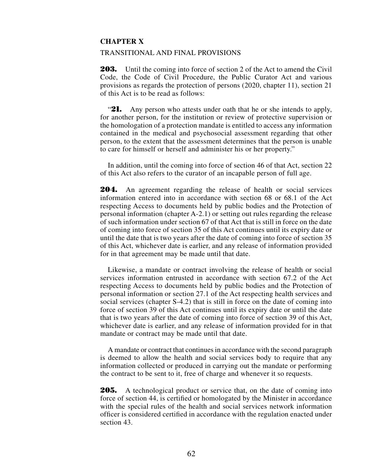## **CHAPTER X**

#### TRANSITIONAL AND FINAL PROVISIONS

**203.** Until the coming into force of section 2 of the Act to amend the Civil Code, the Code of Civil Procedure, the Public Curator Act and various provisions as regards the protection of persons (2020, chapter 11), section 21 of this Act is to be read as follows:

"21. Any person who attests under oath that he or she intends to apply, for another person, for the institution or review of protective supervision or the homologation of a protection mandate is entitled to access any information contained in the medical and psychosocial assessment regarding that other person, to the extent that the assessment determines that the person is unable to care for himself or herself and administer his or her property."

In addition, until the coming into force of section 46 of that Act, section 22 of this Act also refers to the curator of an incapable person of full age.

**204.** An agreement regarding the release of health or social services information entered into in accordance with section 68 or 68.1 of the Act respecting Access to documents held by public bodies and the Protection of personal information (chapter A-2.1) or setting out rules regarding the release of such information under section 67 of that Act that is still in force on the date of coming into force of section 35 of this Act continues until its expiry date or until the date that is two years after the date of coming into force of section 35 of this Act, whichever date is earlier, and any release of information provided for in that agreement may be made until that date.

Likewise, a mandate or contract involving the release of health or social services information entrusted in accordance with section 67.2 of the Act respecting Access to documents held by public bodies and the Protection of personal information or section 27.1 of the Act respecting health services and social services (chapter S-4.2) that is still in force on the date of coming into force of section 39 of this Act continues until its expiry date or until the date that is two years after the date of coming into force of section 39 of this Act, whichever date is earlier, and any release of information provided for in that mandate or contract may be made until that date.

A mandate or contract that continues in accordance with the second paragraph is deemed to allow the health and social services body to require that any information collected or produced in carrying out the mandate or performing the contract to be sent to it, free of charge and whenever it so requests.

**205.** A technological product or service that, on the date of coming into force of section 44, is certified or homologated by the Minister in accordance with the special rules of the health and social services network information officer is considered certified in accordance with the regulation enacted under section 43.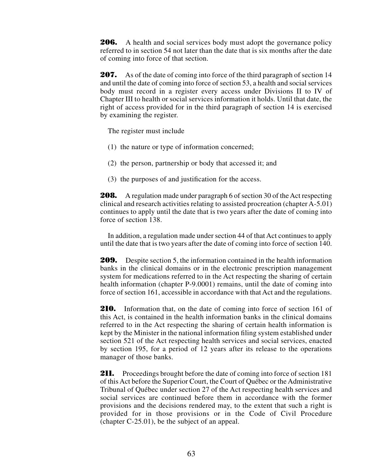**206.** A health and social services body must adopt the governance policy referred to in section 54 not later than the date that is six months after the date of coming into force of that section.

**207.** As of the date of coming into force of the third paragraph of section 14 and until the date of coming into force of section 53, a health and social services body must record in a register every access under Divisions II to IV of Chapter III to health or social services information it holds. Until that date, the right of access provided for in the third paragraph of section 14 is exercised by examining the register.

The register must include

- (1) the nature or type of information concerned;
- (2) the person, partnership or body that accessed it; and
- (3) the purposes of and justification for the access.

**208.** A regulation made under paragraph 6 of section 30 of the Act respecting clinical and research activities relating to assisted procreation (chapter A-5.01) continues to apply until the date that is two years after the date of coming into force of section 138.

In addition, a regulation made under section 44 of that Act continues to apply until the date that is two years after the date of coming into force of section 140.

**209.** Despite section 5, the information contained in the health information banks in the clinical domains or in the electronic prescription management system for medications referred to in the Act respecting the sharing of certain health information (chapter P-9.0001) remains, until the date of coming into force of section 161, accessible in accordance with that Act and the regulations.

**210.** Information that, on the date of coming into force of section 161 of this Act, is contained in the health information banks in the clinical domains referred to in the Act respecting the sharing of certain health information is kept by the Minister in the national information filing system established under section 521 of the Act respecting health services and social services, enacted by section 195, for a period of 12 years after its release to the operations manager of those banks.

**211.** Proceedings brought before the date of coming into force of section 181 of this Act before the Superior Court, the Court of Québec or the Administrative Tribunal of Québec under section 27 of the Act respecting health services and social services are continued before them in accordance with the former provisions and the decisions rendered may, to the extent that such a right is provided for in those provisions or in the Code of Civil Procedure (chapter C-25.01), be the subject of an appeal.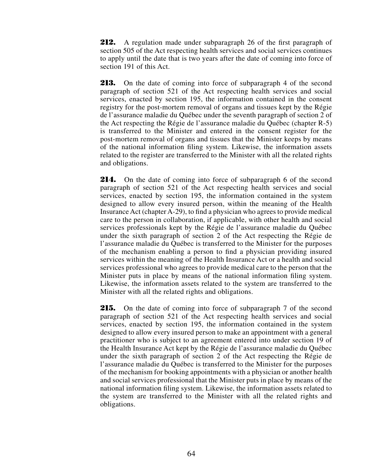**212.** A regulation made under subparagraph 26 of the first paragraph of section 505 of the Act respecting health services and social services continues to apply until the date that is two years after the date of coming into force of section 191 of this Act.

**213.** On the date of coming into force of subparagraph 4 of the second paragraph of section 521 of the Act respecting health services and social services, enacted by section 195, the information contained in the consent registry for the post-mortem removal of organs and tissues kept by the Régie de l'assurance maladie du Québec under the seventh paragraph of section 2 of the Act respecting the Régie de l'assurance maladie du Québec (chapter R-5) is transferred to the Minister and entered in the consent register for the post-mortem removal of organs and tissues that the Minister keeps by means of the national information filing system. Likewise, the information assets related to the register are transferred to the Minister with all the related rights and obligations.

214. On the date of coming into force of subparagraph 6 of the second paragraph of section 521 of the Act respecting health services and social services, enacted by section 195, the information contained in the system designed to allow every insured person, within the meaning of the Health Insurance Act (chapter A-29), to find a physician who agrees to provide medical care to the person in collaboration, if applicable, with other health and social services professionals kept by the Régie de l'assurance maladie du Québec under the sixth paragraph of section 2 of the Act respecting the Régie de l'assurance maladie du Québec is transferred to the Minister for the purposes of the mechanism enabling a person to find a physician providing insured services within the meaning of the Health Insurance Act or a health and social services professional who agrees to provide medical care to the person that the Minister puts in place by means of the national information filing system. Likewise, the information assets related to the system are transferred to the Minister with all the related rights and obligations.

**215.** On the date of coming into force of subparagraph 7 of the second paragraph of section 521 of the Act respecting health services and social services, enacted by section 195, the information contained in the system designed to allow every insured person to make an appointment with a general practitioner who is subject to an agreement entered into under section 19 of the Health Insurance Act kept by the Régie de l'assurance maladie du Québec under the sixth paragraph of section 2 of the Act respecting the Régie de l'assurance maladie du Québec is transferred to the Minister for the purposes of the mechanism for booking appointments with a physician or another health and social services professional that the Minister puts in place by means of the national information filing system. Likewise, the information assets related to the system are transferred to the Minister with all the related rights and obligations.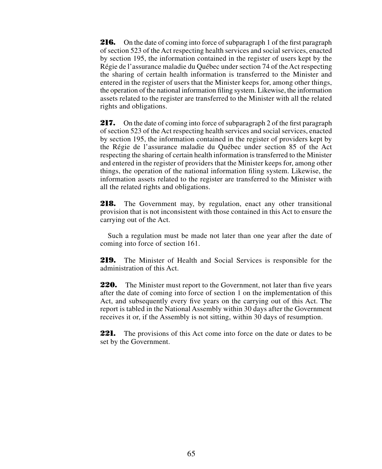**216.** On the date of coming into force of subparagraph 1 of the first paragraph of section 523 of the Act respecting health services and social services, enacted by section 195, the information contained in the register of users kept by the Régie de l'assurance maladie du Québec under section 74 of the Act respecting the sharing of certain health information is transferred to the Minister and entered in the register of users that the Minister keeps for, among other things, the operation of the national information filing system. Likewise, the information assets related to the register are transferred to the Minister with all the related rights and obligations.

**217.** On the date of coming into force of subparagraph 2 of the first paragraph of section 523 of the Act respecting health services and social services, enacted by section 195, the information contained in the register of providers kept by the Régie de l'assurance maladie du Québec under section 85 of the Act respecting the sharing of certain health information is transferred to the Minister and entered in the register of providers that the Minister keeps for, among other things, the operation of the national information filing system. Likewise, the information assets related to the register are transferred to the Minister with all the related rights and obligations.

**218.** The Government may, by regulation, enact any other transitional provision that is not inconsistent with those contained in this Act to ensure the carrying out of the Act.

Such a regulation must be made not later than one year after the date of coming into force of section 161.

**219.** The Minister of Health and Social Services is responsible for the administration of this Act.

**220.** The Minister must report to the Government, not later than five years after the date of coming into force of section 1 on the implementation of this Act, and subsequently every five years on the carrying out of this Act. The report is tabled in the National Assembly within 30 days after the Government receives it or, if the Assembly is not sitting, within 30 days of resumption.

**221.** The provisions of this Act come into force on the date or dates to be set by the Government.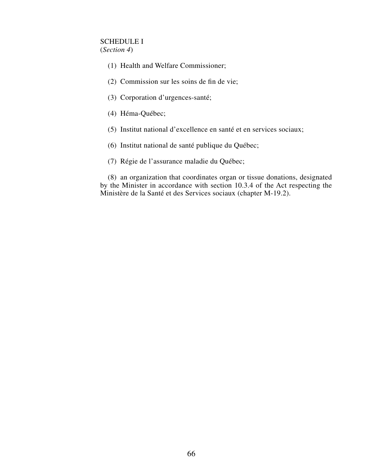# SCHEDULE I

(*Section 4*)

- (1) Health and Welfare Commissioner;
- (2) Commission sur les soins de fin de vie;
- (3) Corporation d'urgences-santé;
- (4) Héma-Québec;
- (5) Institut national d'excellence en santé et en services sociaux;
- (6) Institut national de santé publique du Québec;
- (7) Régie de l'assurance maladie du Québec;

(8) an organization that coordinates organ or tissue donations, designated by the Minister in accordance with section 10.3.4 of the Act respecting the Ministère de la Santé et des Services sociaux (chapter M-19.2).